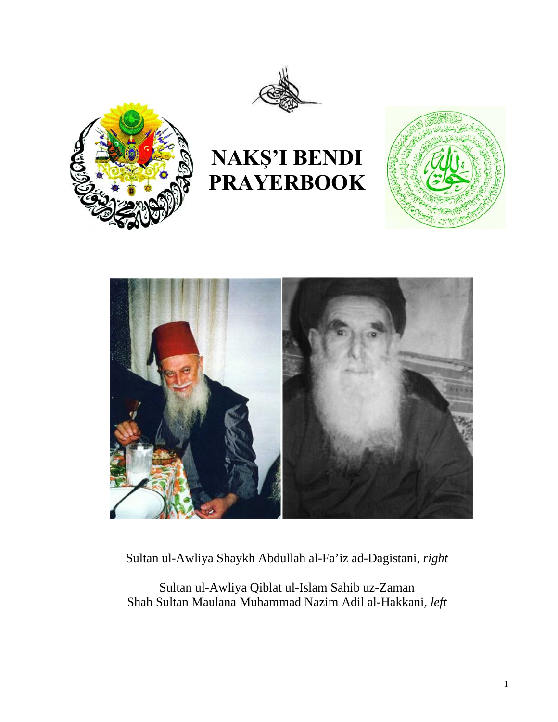



# **NAKŞ'I BENDI PRAYERBOOK**





Sultan ul-Awliya Shaykh Abdullah al-Fa'iz ad-Dagistani*, right* 

Sultan ul-Awliya Qiblat ul-Islam Sahib uz-Zaman Shah Sultan Maulana Muhammad Nazim Adil al-Hakkani*, left*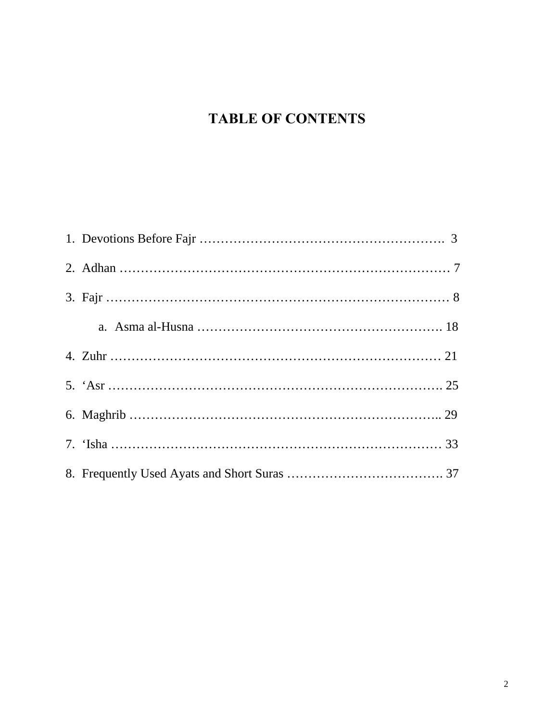## **TABLE OF CONTENTS**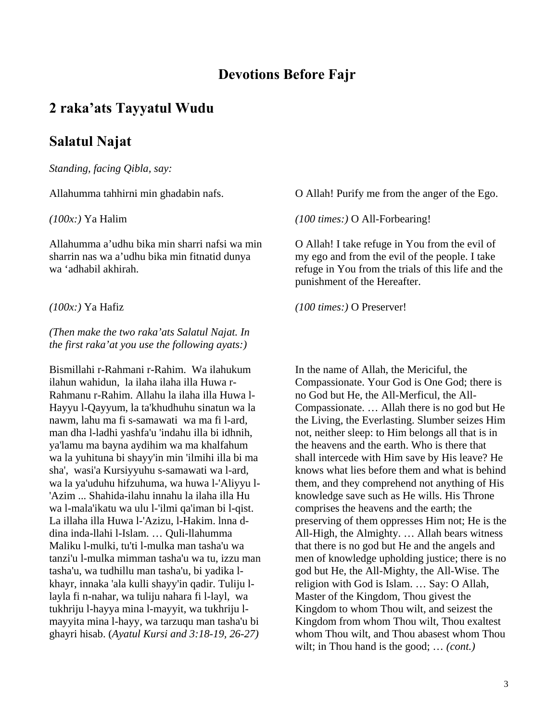## **Devotions Before Fajr**

## **2 raka'ats Tayyatul Wudu**

## **Salatul Najat**

*Standing, facing Qibla, say:* 

Allahumma tahhirni min ghadabin nafs.

#### *(100x:)* Ya Halim

Allahumma a'udhu bika min sharri nafsi wa min sharrin nas wa a'udhu bika min fitnatid dunya wa 'adhabil akhirah.

*(100x:)* Ya Hafiz

#### *(Then make the two raka'ats Salatul Najat. In the first raka'at you use the following ayats:)*

Bismillahi r-Rahmani r-Rahim. Wa ilahukum ilahun wahidun, la ilaha ilaha illa Huwa r-Rahmanu r-Rahim. Allahu la ilaha illa Huwa l-Hayyu l-Qayyum, la ta'khudhuhu sinatun wa la nawm, lahu ma fi s-samawati wa ma fi l-ard, man dha l-ladhi yashfa'u 'indahu illa bi idhnih, ya'lamu ma bayna aydihim wa ma khalfahum wa la yuhituna bi shayy'in min 'ilmihi illa bi ma sha', wasi'a Kursiyyuhu s-samawati wa l-ard, wa la ya'uduhu hifzuhuma, wa huwa l-'Aliyyu l- 'Azim ... Shahida-ilahu innahu la ilaha illa Hu wa l-mala'ikatu wa ulu l-'ilmi qa'iman bi l-qist. La illaha illa Huwa l-'Azizu, l-Hakim. lnna ddina inda-llahi l-Islam. … Quli-llahumma Maliku l-mulki, tu'ti l-mulka man tasha'u wa tanzi'u l-mulka mimman tasha'u wa tu, izzu man tasha'u, wa tudhillu man tasha'u, bi yadika lkhayr, innaka 'ala kulli shayy'in qadir. Tuliju llayla fi n-nahar, wa tuliju nahara fi l-layl, wa tukhriju l-hayya mina l-mayyit, wa tukhriju lmayyita mina l-hayy, wa tarzuqu man tasha'u bi ghayri hisab. (*Ayatul Kursi and 3:18-19, 26-27)*

O Allah! Purify me from the anger of the Ego.

*(100 times:)* O All-Forbearing!

O Allah! I take refuge in You from the evil of my ego and from the evil of the people. I take refuge in You from the trials of this life and the punishment of the Hereafter.

*(100 times:)* O Preserver!

In the name of Allah, the Mericiful, the Compassionate. Your God is One God; there is no God but He, the All-Merficul, the All-Compassionate. … Allah there is no god but He the Living, the Everlasting. Slumber seizes Him not, neither sleep: to Him belongs all that is in the heavens and the earth. Who is there that shall intercede with Him save by His leave? He knows what lies before them and what is behind them, and they comprehend not anything of His knowledge save such as He wills. His Throne comprises the heavens and the earth; the preserving of them oppresses Him not; He is the All-High, the Almighty. … Allah bears witness that there is no god but He and the angels and men of knowledge upholding justice; there is no god but He, the All-Mighty, the All-Wise. The religion with God is Islam. … Say: O Allah, Master of the Kingdom, Thou givest the Kingdom to whom Thou wilt, and seizest the Kingdom from whom Thou wilt, Thou exaltest whom Thou wilt, and Thou abasest whom Thou wilt; in Thou hand is the good; … *(cont.)*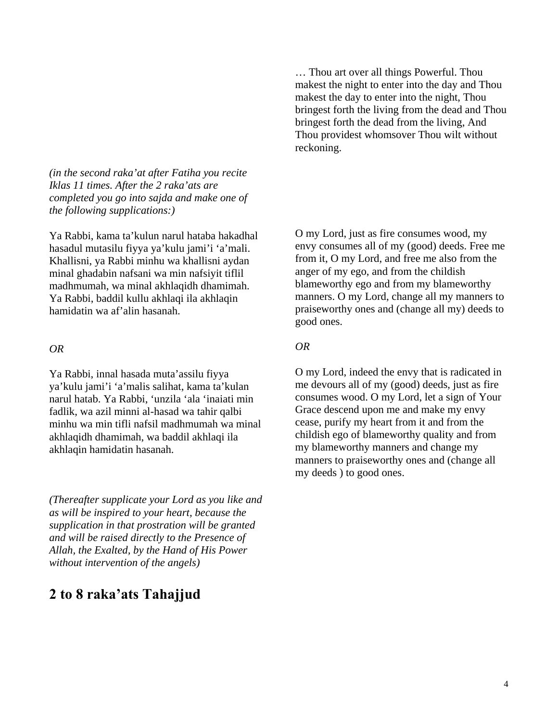*(in the second raka'at after Fatiha you recite Iklas 11 times. After the 2 raka'ats are completed you go into sajda and make one of the following supplications:)*

Ya Rabbi, kama ta'kulun narul hataba hakadhal hasadul mutasilu fiyya ya'kulu jami'i 'a'mali. Khallisni, ya Rabbi minhu wa khallisni aydan minal ghadabin nafsani wa min nafsiyit tiflil madhmumah, wa minal akhlaqidh dhamimah. Ya Rabbi, baddil kullu akhlaqi ila akhlaqin hamidatin wa af'alin hasanah.

#### *OR*

Ya Rabbi, innal hasada muta'assilu fiyya ya'kulu jami'i 'a'malis salihat, kama ta'kulan narul hatab. Ya Rabbi, 'unzila 'ala 'inaiati min fadlik, wa azil minni al-hasad wa tahir qalbi minhu wa min tifli nafsil madhmumah wa minal akhlaqidh dhamimah, wa baddil akhlaqi ila akhlaqin hamidatin hasanah.

*(Thereafter supplicate your Lord as you like and as will be inspired to your heart, because the supplication in that prostration will be granted and will be raised directly to the Presence of Allah, the Exalted, by the Hand of His Power without intervention of the angels)*

## **2 to 8 raka'ats Tahajjud**

… Thou art over all things Powerful. Thou makest the night to enter into the day and Thou makest the day to enter into the night, Thou bringest forth the living from the dead and Thou bringest forth the dead from the living, And Thou providest whomsover Thou wilt without reckoning.

O my Lord, just as fire consumes wood, my envy consumes all of my (good) deeds. Free me from it, O my Lord, and free me also from the anger of my ego, and from the childish blameworthy ego and from my blameworthy manners. O my Lord, change all my manners to praiseworthy ones and (change all my) deeds to good ones.

#### *OR*

O my Lord, indeed the envy that is radicated in me devours all of my (good) deeds, just as fire consumes wood. O my Lord, let a sign of Your Grace descend upon me and make my envy cease, purify my heart from it and from the childish ego of blameworthy quality and from my blameworthy manners and change my manners to praiseworthy ones and (change all my deeds ) to good ones.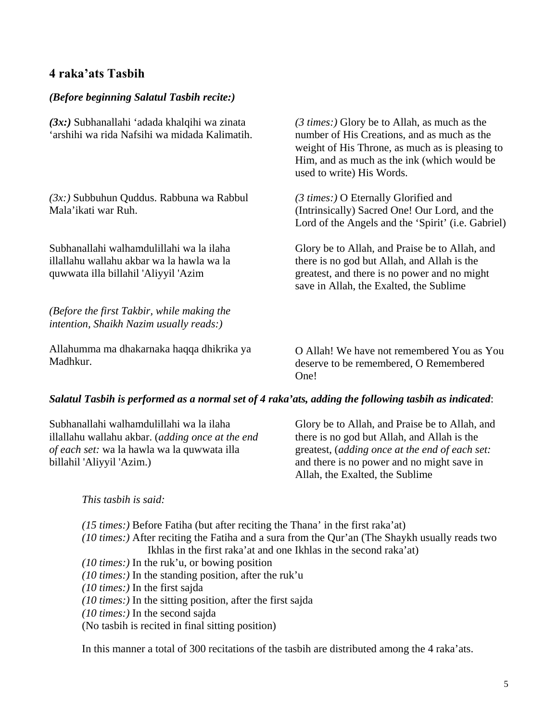## **4 raka'ats Tasbih**

#### *(Before beginning Salatul Tasbih recite:)*

*(3x:)* Subhanallahi 'adada khalqihi wa zinata 'arshihi wa rida Nafsihi wa midada Kalimatih.

*(3x:)* Subbuhun Quddus. Rabbuna wa Rabbul Mala'ikati war Ruh.

Subhanallahi walhamdulillahi wa la ilaha illallahu wallahu akbar wa la hawla wa la quwwata illa billahil 'Aliyyil 'Azim

*(Before the first Takbir, while making the intention, Shaikh Nazim usually reads:)*

Allahumma ma dhakarnaka haqqa dhikrika ya Madhkur.

*(3 times:)* Glory be to Allah, as much as the number of His Creations, and as much as the weight of His Throne, as much as is pleasing to Him, and as much as the ink (which would be used to write) His Words.

*(3 times:)* O Eternally Glorified and (Intrinsically) Sacred One! Our Lord, and the Lord of the Angels and the 'Spirit' (i.e. Gabriel)

Glory be to Allah, and Praise be to Allah, and there is no god but Allah, and Allah is the greatest, and there is no power and no might save in Allah, the Exalted, the Sublime

O Allah! We have not remembered You as You deserve to be remembered, O Remembered One!

#### *Salatul Tasbih is performed as a normal set of 4 raka'ats, adding the following tasbih as indicated*:

Subhanallahi walhamdulillahi wa la ilaha illallahu wallahu akbar. (*adding once at the end of each set:* wa la hawla wa la quwwata illa billahil 'Aliyyil 'Azim.)

Glory be to Allah, and Praise be to Allah, and there is no god but Allah, and Allah is the greatest, (*adding once at the end of each set:*  and there is no power and no might save in Allah, the Exalted, the Sublime

#### *This tasbih is said:*

*(15 times:)* Before Fatiha (but after reciting the Thana' in the first raka'at)

- *(10 times:)* After reciting the Fatiha and a sura from the Qur'an (The Shaykh usually reads two Ikhlas in the first raka'at and one Ikhlas in the second raka'at)
- *(10 times:)* In the ruk'u, or bowing position
- *(10 times:)* In the standing position, after the ruk'u
- *(10 times:)* In the first sajda
- *(10 times:)* In the sitting position, after the first sajda
- *(10 times:)* In the second sajda

(No tasbih is recited in final sitting position)

In this manner a total of 300 recitations of the tasbih are distributed among the 4 raka'ats.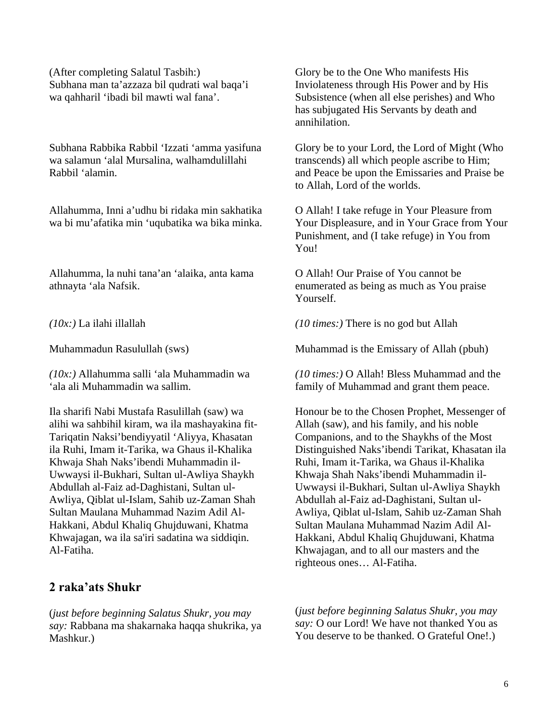(After completing Salatul Tasbih:) Subhana man ta'azzaza bil qudrati wal baqa'i wa qahharil 'ibadi bil mawti wal fana'.

Subhana Rabbika Rabbil 'Izzati 'amma yasifuna wa salamun 'alal Mursalina, walhamdulillahi Rabbil 'alamin.

Allahumma, Inni a'udhu bi ridaka min sakhatika wa bi mu'afatika min 'uqubatika wa bika minka.

Allahumma, la nuhi tana'an 'alaika, anta kama athnayta 'ala Nafsik.

*(10x:)* La ilahi illallah

Muhammadun Rasulullah (sws)

*(10x:)* Allahumma salli 'ala Muhammadin wa 'ala ali Muhammadin wa sallim.

Ila sharifi Nabi Mustafa Rasulillah (saw) wa alihi wa sahbihil kiram, wa ila mashayakina fit-Tariqatin Naksi'bendiyyatil 'Aliyya, Khasatan ila Ruhi, Imam it-Tarika, wa Ghaus il-Khalika Khwaja Shah Naks'ibendi Muhammadin il-Uwwaysi il-Bukhari, Sultan ul-Awliya Shaykh Abdullah al-Faiz ad-Daghistani, Sultan ul-Awliya, Qiblat ul-Islam, Sahib uz-Zaman Shah Sultan Maulana Muhammad Nazim Adil Al-Hakkani, Abdul Khaliq Ghujduwani, Khatma Khwajagan, wa ila sa'iri sadatina wa siddiqin. Al-Fatiha.

#### **2 raka'ats Shukr**

(*just before beginning Salatus Shukr, you may say:* Rabbana ma shakarnaka haqqa shukrika, ya Mashkur.)

Glory be to the One Who manifests His Inviolateness through His Power and by His Subsistence (when all else perishes) and Who has subjugated His Servants by death and annihilation.

Glory be to your Lord, the Lord of Might (Who transcends) all which people ascribe to Him; and Peace be upon the Emissaries and Praise be to Allah, Lord of the worlds.

O Allah! I take refuge in Your Pleasure from Your Displeasure, and in Your Grace from Your Punishment, and (I take refuge) in You from You!

O Allah! Our Praise of You cannot be enumerated as being as much as You praise Yourself.

*(10 times:)* There is no god but Allah

Muhammad is the Emissary of Allah (pbuh)

*(10 times:)* O Allah! Bless Muhammad and the family of Muhammad and grant them peace.

Honour be to the Chosen Prophet, Messenger of Allah (saw), and his family, and his noble Companions, and to the Shaykhs of the Most Distinguished Naks'ibendi Tarikat, Khasatan ila Ruhi, Imam it-Tarika, wa Ghaus il-Khalika Khwaja Shah Naks'ibendi Muhammadin il-Uwwaysi il-Bukhari, Sultan ul-Awliya Shaykh Abdullah al-Faiz ad-Daghistani, Sultan ul-Awliya, Qiblat ul-Islam, Sahib uz-Zaman Shah Sultan Maulana Muhammad Nazim Adil Al-Hakkani, Abdul Khaliq Ghujduwani, Khatma Khwajagan, and to all our masters and the righteous ones… Al-Fatiha.

(*just before beginning Salatus Shukr, you may say:* O our Lord! We have not thanked You as You deserve to be thanked. O Grateful One!.)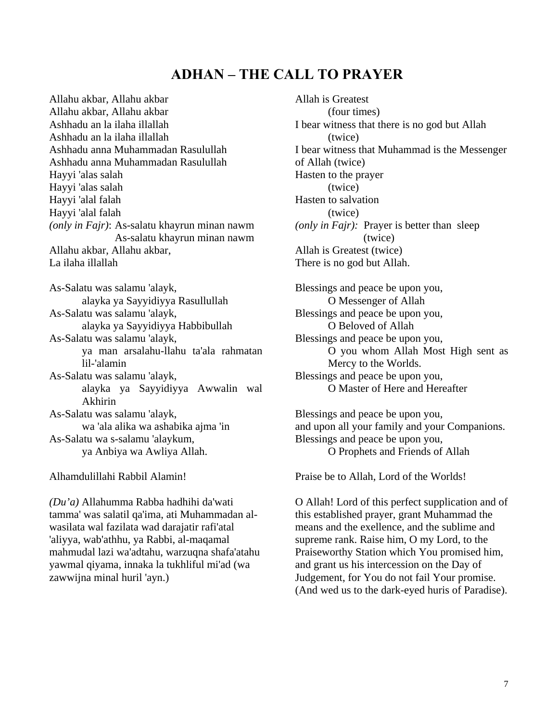## **ADHAN – THE CALL TO PRAYER**

Allahu akbar, Allahu akbar Allahu akbar, Allahu akbar Ashhadu an la ilaha illallah Ashhadu an la ilaha illallah Ashhadu anna Muhammadan Rasulullah Ashhadu anna Muhammadan Rasulullah Hayyi 'alas salah Hayyi 'alas salah Hayyi 'alal falah Hayyi 'alal falah *(only in Fajr)*: As-salatu khayrun minan nawm As-salatu khayrun minan nawm Allahu akbar, Allahu akbar, La ilaha illallah

As-Salatu was salamu 'alayk, alayka ya Sayyidiyya Rasullullah As-Salatu was salamu 'alayk, alayka ya Sayyidiyya Habbibullah As-Salatu was salamu 'alayk, ya man arsalahu-llahu ta'ala rahmatan lil-'alamin As-Salatu was salamu 'alayk, alayka ya Sayyidiyya Awwalin wal Akhirin As-Salatu was salamu 'alayk, wa 'ala alika wa ashabika ajma 'in As-Salatu wa s-salamu 'alaykum, ya Anbiya wa Awliya Allah.

Alhamdulillahi Rabbil Alamin!

*(Du'a)* Allahumma Rabba hadhihi da'wati tamma' was salatil qa'ima, ati Muhammadan alwasilata wal fazilata wad darajatir rafi'atal 'aliyya, wab'athhu, ya Rabbi, al-maqamal mahmudal lazi wa'adtahu, warzuqna shafa'atahu yawmal qiyama, innaka la tukhliful mi'ad (wa zawwijna minal huril 'ayn.)

Allah is Greatest (four times) I bear witness that there is no god but Allah (twice) I bear witness that Muhammad is the Messenger of Allah (twice) Hasten to the prayer (twice) Hasten to salvation (twice) *(only in Fajr):* Prayer is better than sleep (twice) Allah is Greatest (twice) There is no god but Allah. Blessings and peace be upon you,

O Messenger of Allah Blessings and peace be upon you, O Beloved of Allah Blessings and peace be upon you, O you whom Allah Most High sent as Mercy to the Worlds. Blessings and peace be upon you, O Master of Here and Hereafter

Blessings and peace be upon you, and upon all your family and your Companions. Blessings and peace be upon you, O Prophets and Friends of Allah

Praise be to Allah, Lord of the Worlds!

O Allah! Lord of this perfect supplication and of this established prayer, grant Muhammad the means and the exellence, and the sublime and supreme rank. Raise him, O my Lord, to the Praiseworthy Station which You promised him, and grant us his intercession on the Day of Judgement, for You do not fail Your promise. (And wed us to the dark-eyed huris of Paradise).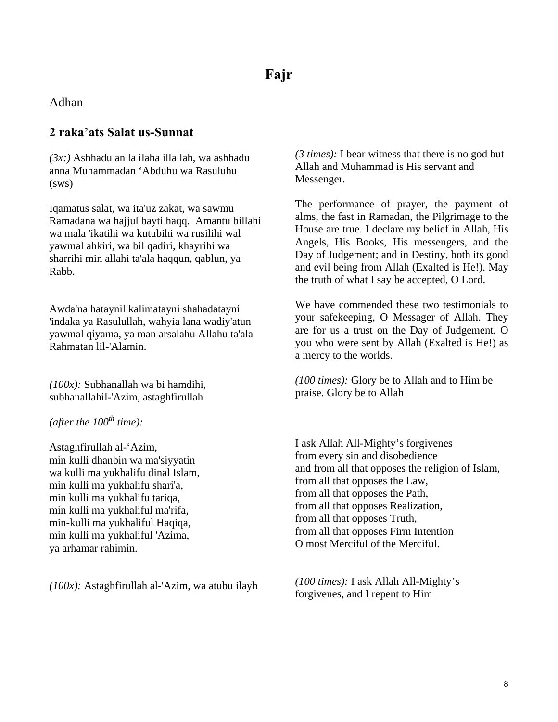Adhan

## **2 raka'ats Salat us-Sunnat**

*(3x:)* Ashhadu an la ilaha illallah, wa ashhadu anna Muhammadan 'Abduhu wa Rasuluhu (sws)

Iqamatus salat, wa ita'uz zakat, wa sawmu Ramadana wa hajjul bayti haqq. Amantu billahi wa mala 'ikatihi wa kutubihi wa rusilihi wal yawmal ahkiri, wa bil qadiri, khayrihi wa sharrihi min allahi ta'ala haqqun, qablun, ya Rabb.

Awda'na hataynil kalimatayni shahadatayni 'indaka ya Rasulullah, wahyia lana wadiy'atun yawmal qiyama, ya man arsalahu Allahu ta'ala Rahmatan lil-'Alamin.

*(100x):* Subhanallah wa bi hamdihi, subhanallahil-'Azim, astaghfirullah

 $(after the 100<sup>th</sup> time):$ 

Astaghfirullah al-'Azim, min kulli dhanbin wa ma'siyyatin wa kulli ma yukhalifu dinal Islam, min kulli ma yukhalifu shari'a, min kulli ma yukhalifu tariqa, min kulli ma yukhaliful ma'rifa, min-kulli ma yukhaliful Haqiqa, min kulli ma yukhaliful 'Azima, ya arhamar rahimin.

*(100x):* Astaghfirullah al-'Azim, wa atubu ilayh

*(3 times):* I bear witness that there is no god but Allah and Muhammad is His servant and Messenger.

The performance of prayer, the payment of alms, the fast in Ramadan, the Pilgrimage to the House are true. I declare my belief in Allah, His Angels, His Books, His messengers, and the Day of Judgement; and in Destiny, both its good and evil being from Allah (Exalted is He!). May the truth of what I say be accepted, O Lord.

We have commended these two testimonials to your safekeeping, O Messager of Allah. They are for us a trust on the Day of Judgement, O you who were sent by Allah (Exalted is He!) as a mercy to the worlds.

*(100 times):* Glory be to Allah and to Him be praise. Glory be to Allah

I ask Allah All-Mighty's forgivenes from every sin and disobedience and from all that opposes the religion of Islam, from all that opposes the Law, from all that opposes the Path, from all that opposes Realization, from all that opposes Truth, from all that opposes Firm Intention O most Merciful of the Merciful.

*(100 times):* I ask Allah All-Mighty's forgivenes, and I repent to Him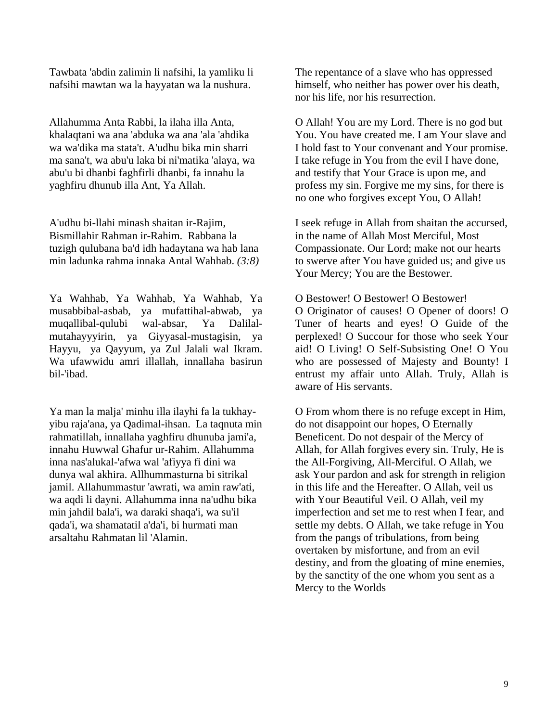Tawbata 'abdin zalimin li nafsihi, la yamliku li nafsihi mawtan wa la hayyatan wa la nushura.

Allahumma Anta Rabbi, la ilaha illa Anta, khalaqtani wa ana 'abduka wa ana 'ala 'ahdika wa wa'dika ma stata't. A'udhu bika min sharri ma sana't, wa abu'u laka bi ni'matika 'alaya, wa abu'u bi dhanbi faghfirli dhanbi, fa innahu la yaghfiru dhunub illa Ant, Ya Allah.

A'udhu bi-llahi minash shaitan ir-Rajim, Bismillahir Rahman ir-Rahim. Rabbana la tuzigh qulubana ba'd idh hadaytana wa hab lana min ladunka rahma innaka Antal Wahhab. *(3:8)*

Ya Wahhab, Ya Wahhab, Ya Wahhab, Ya musabbibal-asbab, ya mufattihal-abwab, ya muqallibal-qulubi wal-absar, Ya Dalilalmutahayyyirin, ya Giyyasal-mustagisin, ya Hayyu, ya Qayyum, ya Zul Jalali wal Ikram. Wa ufawwidu amri illallah, innallaha basirun bil-'ibad.

Ya man la malja' minhu illa ilayhi fa la tukhayyibu raja'ana, ya Qadimal-ihsan. La taqnuta min rahmatillah, innallaha yaghfiru dhunuba jami'a, innahu Huwwal Ghafur ur-Rahim. Allahumma inna nas'alukal-'afwa wal 'afiyya fi dini wa dunya wal akhira. Allhummasturna bi sitrikal jamil. Allahummastur 'awrati, wa amin raw'ati, wa aqdi li dayni. Allahumma inna na'udhu bika min jahdil bala'i, wa daraki shaqa'i, wa su'il qada'i, wa shamatatil a'da'i, bi hurmati man arsaltahu Rahmatan lil 'Alamin.

The repentance of a slave who has oppressed himself, who neither has power over his death, nor his life, nor his resurrection.

O Allah! You are my Lord. There is no god but You. You have created me. I am Your slave and I hold fast to Your convenant and Your promise. I take refuge in You from the evil I have done, and testify that Your Grace is upon me, and profess my sin. Forgive me my sins, for there is no one who forgives except You, O Allah!

I seek refuge in Allah from shaitan the accursed, in the name of Allah Most Merciful, Most Compassionate. Our Lord; make not our hearts to swerve after You have guided us; and give us Your Mercy; You are the Bestower.

O Bestower! O Bestower! O Bestower! O Originator of causes! O Opener of doors! O Tuner of hearts and eyes! O Guide of the perplexed! O Succour for those who seek Your aid! O Living! O Self-Subsisting One! O You who are possessed of Majesty and Bounty! I entrust my affair unto Allah. Truly, Allah is

aware of His servants.

O From whom there is no refuge except in Him, do not disappoint our hopes, O Eternally Beneficent. Do not despair of the Mercy of Allah, for Allah forgives every sin. Truly, He is the All-Forgiving, All-Merciful. O Allah, we ask Your pardon and ask for strength in religion in this life and the Hereafter. O Allah, veil us with Your Beautiful Veil. O Allah, veil my imperfection and set me to rest when I fear, and settle my debts. O Allah, we take refuge in You from the pangs of tribulations, from being overtaken by misfortune, and from an evil destiny, and from the gloating of mine enemies, by the sanctity of the one whom you sent as a Mercy to the Worlds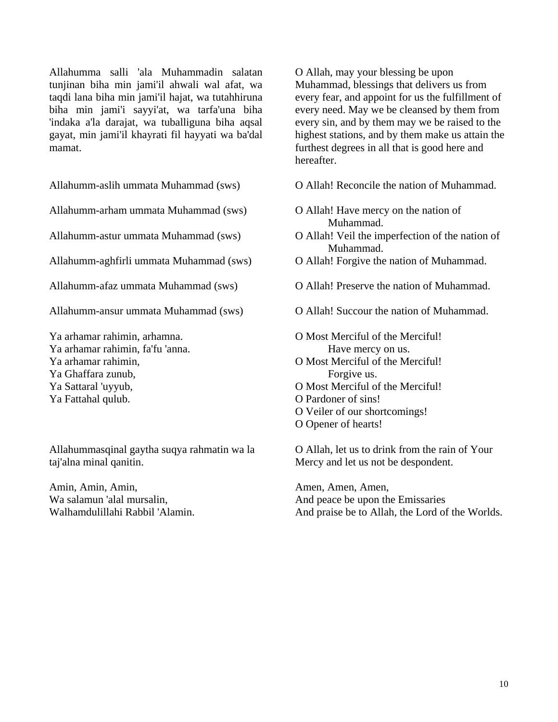Allahumma salli 'ala Muhammadin salatan tunjinan biha min jami'il ahwali wal afat, wa taqdi lana biha min jami'il hajat, wa tutahhiruna biha min jami'i sayyi'at, wa tarfa'una biha 'indaka a'la darajat, wa tuballiguna biha aqsal gayat, min jami'il khayrati fil hayyati wa ba'dal mamat.

Allahumm-aslih ummata Muhammad (sws)

Allahumm-arham ummata Muhammad (sws)

Allahumm-astur ummata Muhammad (sws)

Allahumm-aghfirli ummata Muhammad (sws)

Allahumm-afaz ummata Muhammad (sws)

Allahumm-ansur ummata Muhammad (sws)

Ya arhamar rahimin, arhamna. Ya arhamar rahimin, fa'fu 'anna. Ya arhamar rahimin, Ya Ghaffara zunub, Ya Sattaral 'uyyub, Ya Fattahal qulub.

Allahummasqinal gaytha suqya rahmatin wa la taj'alna minal qanitin.

Amin, Amin, Amin, Wa salamun 'alal mursalin, Walhamdulillahi Rabbil 'Alamin. O Allah, may your blessing be upon Muhammad, blessings that delivers us from every fear, and appoint for us the fulfillment of every need. May we be cleansed by them from every sin, and by them may we be raised to the highest stations, and by them make us attain the furthest degrees in all that is good here and hereafter.

O Allah! Reconcile the nation of Muhammad.

- O Allah! Have mercy on the nation of Muhammad.
- O Allah! Veil the imperfection of the nation of Muhammad.
- O Allah! Forgive the nation of Muhammad.
- O Allah! Preserve the nation of Muhammad.
- O Allah! Succour the nation of Muhammad.

O Most Merciful of the Merciful! Have mercy on us.

- O Most Merciful of the Merciful! Forgive us.
- O Most Merciful of the Merciful!
- O Pardoner of sins!
- O Veiler of our shortcomings!
- O Opener of hearts!

O Allah, let us to drink from the rain of Your Mercy and let us not be despondent.

Amen, Amen, Amen, And peace be upon the Emissaries And praise be to Allah, the Lord of the Worlds.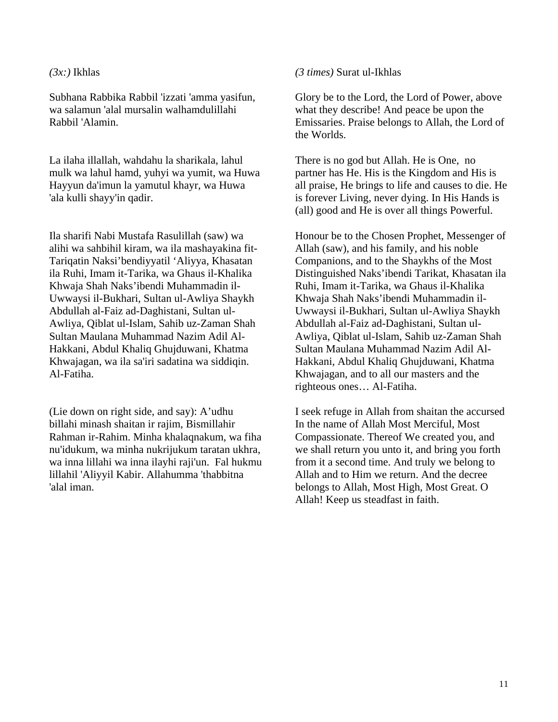#### *(3x:)* Ikhlas

Subhana Rabbika Rabbil 'izzati 'amma yasifun, wa salamun 'alal mursalin walhamdulillahi Rabbil 'Alamin.

La ilaha illallah, wahdahu la sharikala, lahul mulk wa lahul hamd, yuhyi wa yumit, wa Huwa Hayyun da'imun la yamutul khayr, wa Huwa 'ala kulli shayy'in qadir.

Ila sharifi Nabi Mustafa Rasulillah (saw) wa alihi wa sahbihil kiram, wa ila mashayakina fit-Tariqatin Naksi'bendiyyatil 'Aliyya, Khasatan ila Ruhi, Imam it-Tarika, wa Ghaus il-Khalika Khwaja Shah Naks'ibendi Muhammadin il-Uwwaysi il-Bukhari, Sultan ul-Awliya Shaykh Abdullah al-Faiz ad-Daghistani, Sultan ul-Awliya, Qiblat ul-Islam, Sahib uz-Zaman Shah Sultan Maulana Muhammad Nazim Adil Al-Hakkani, Abdul Khaliq Ghujduwani, Khatma Khwajagan, wa ila sa'iri sadatina wa siddiqin. Al-Fatiha.

(Lie down on right side, and say): A'udhu billahi minash shaitan ir rajim, Bismillahir Rahman ir-Rahim. Minha khalaqnakum, wa fiha nu'idukum, wa minha nukrijukum taratan ukhra, wa inna lillahi wa inna ilayhi raji'un. Fal hukmu lillahil 'Aliyyil Kabir. Allahumma 'thabbitna 'alal iman.

*(3 times)* Surat ul-Ikhlas

Glory be to the Lord, the Lord of Power, above what they describe! And peace be upon the Emissaries. Praise belongs to Allah, the Lord of the Worlds.

There is no god but Allah. He is One, no partner has He. His is the Kingdom and His is all praise, He brings to life and causes to die. He is forever Living, never dying. In His Hands is (all) good and He is over all things Powerful.

Honour be to the Chosen Prophet, Messenger of Allah (saw), and his family, and his noble Companions, and to the Shaykhs of the Most Distinguished Naks'ibendi Tarikat, Khasatan ila Ruhi, Imam it-Tarika, wa Ghaus il-Khalika Khwaja Shah Naks'ibendi Muhammadin il-Uwwaysi il-Bukhari, Sultan ul-Awliya Shaykh Abdullah al-Faiz ad-Daghistani, Sultan ul-Awliya, Qiblat ul-Islam, Sahib uz-Zaman Shah Sultan Maulana Muhammad Nazim Adil Al-Hakkani, Abdul Khaliq Ghujduwani, Khatma Khwajagan, and to all our masters and the righteous ones… Al-Fatiha.

I seek refuge in Allah from shaitan the accursed In the name of Allah Most Merciful, Most Compassionate. Thereof We created you, and we shall return you unto it, and bring you forth from it a second time. And truly we belong to Allah and to Him we return. And the decree belongs to Allah, Most High, Most Great. O Allah! Keep us steadfast in faith.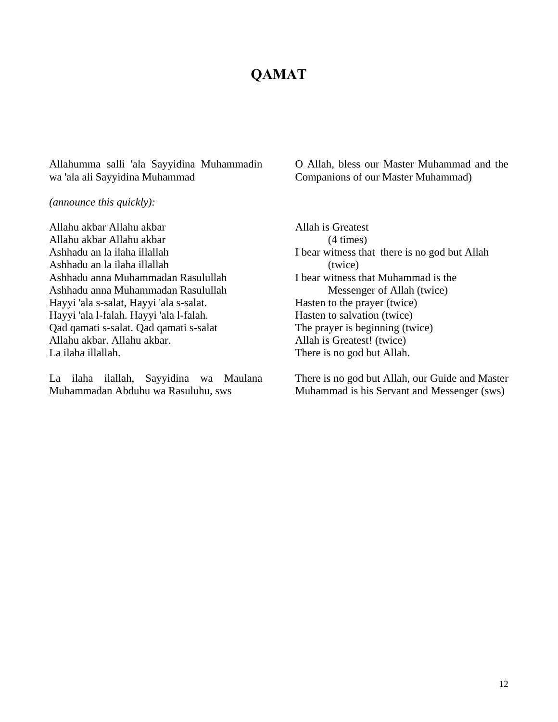## **QAMAT**

Allahumma salli 'ala Sayyidina Muhammadin wa 'ala ali Sayyidina Muhammad

O Allah, bless our Master Muhammad and the Companions of our Master Muhammad)

*(announce this quickly):*

Allahu akbar Allahu akbar Allahu akbar Allahu akbar Ashhadu an la ilaha illallah Ashhadu an la ilaha illallah Ashhadu anna Muhammadan Rasulullah Ashhadu anna Muhammadan Rasulullah Hayyi 'ala s-salat, Hayyi 'ala s-salat. Hayyi 'ala l-falah. Hayyi 'ala l-falah. Qad qamati s-salat. Qad qamati s-salat Allahu akbar. Allahu akbar. La ilaha illallah.

La ilaha ilallah, Sayyidina wa Maulana Muhammadan Abduhu wa Rasuluhu, sws

Allah is Greatest (4 times) I bear witness that there is no god but Allah (twice) I bear witness that Muhammad is the Messenger of Allah (twice) Hasten to the prayer (twice) Hasten to salvation (twice) The prayer is beginning (twice) Allah is Greatest! (twice) There is no god but Allah.

There is no god but Allah, our Guide and Master Muhammad is his Servant and Messenger (sws)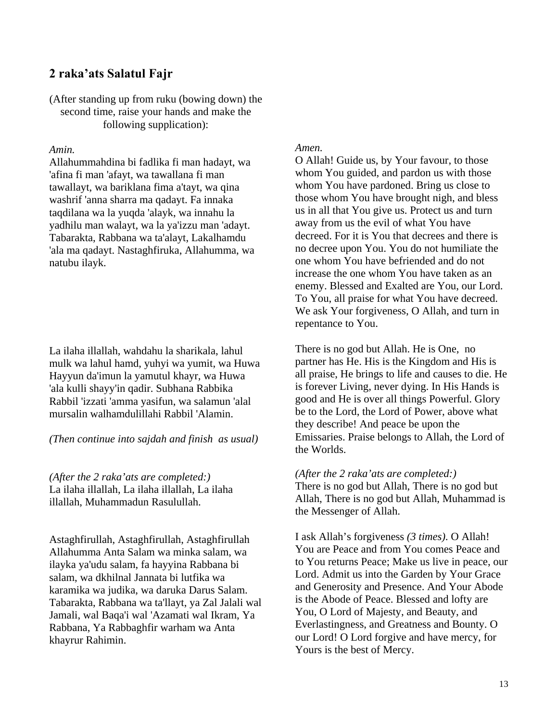## **2 raka'ats Salatul Fajr**

(After standing up from ruku (bowing down) the second time, raise your hands and make the following supplication):

#### *Amin.*

Allahummahdina bi fadlika fi man hadayt, wa 'afina fi man 'afayt, wa tawallana fi man tawallayt, wa bariklana fima a'tayt, wa qina washrif 'anna sharra ma qadayt. Fa innaka taqdilana wa la yuqda 'alayk, wa innahu la yadhilu man walayt, wa la ya'izzu man 'adayt. Tabarakta, Rabbana wa ta'alayt, Lakalhamdu 'ala ma qadayt. Nastaghfiruka, Allahumma, wa natubu ilayk.

La ilaha illallah, wahdahu la sharikala, lahul mulk wa lahul hamd, yuhyi wa yumit, wa Huwa Hayyun da'imun la yamutul khayr, wa Huwa 'ala kulli shayy'in qadir. Subhana Rabbika Rabbil 'izzati 'amma yasifun, wa salamun 'alal mursalin walhamdulillahi Rabbil 'Alamin.

#### *(Then continue into sajdah and finish as usual)*

*(After the 2 raka'ats are completed:)* La ilaha illallah, La ilaha illallah, La ilaha illallah, Muhammadun Rasulullah.

Astaghfirullah, Astaghfirullah, Astaghfirullah Allahumma Anta Salam wa minka salam, wa ilayka ya'udu salam, fa hayyina Rabbana bi salam, wa dkhilnal Jannata bi lutfika wa karamika wa judika, wa daruka Darus Salam. Tabarakta, Rabbana wa ta'llayt, ya Zal Jalali wal Jamali, wal Baqa'i wal 'Azamati wal Ikram, Ya Rabbana, Ya Rabbaghfir warham wa Anta khayrur Rahimin.

#### *Amen.*

O Allah! Guide us, by Your favour, to those whom You guided, and pardon us with those whom You have pardoned. Bring us close to those whom You have brought nigh, and bless us in all that You give us. Protect us and turn away from us the evil of what You have decreed. For it is You that decrees and there is no decree upon You. You do not humiliate the one whom You have befriended and do not increase the one whom You have taken as an enemy. Blessed and Exalted are You, our Lord. To You, all praise for what You have decreed. We ask Your forgiveness, O Allah, and turn in repentance to You.

There is no god but Allah. He is One, no partner has He. His is the Kingdom and His is all praise, He brings to life and causes to die. He is forever Living, never dying. In His Hands is good and He is over all things Powerful. Glory be to the Lord, the Lord of Power, above what they describe! And peace be upon the Emissaries. Praise belongs to Allah, the Lord of the Worlds.

#### *(After the 2 raka'ats are completed:)*

There is no god but Allah, There is no god but Allah, There is no god but Allah, Muhammad is the Messenger of Allah.

I ask Allah's forgiveness *(3 times)*. O Allah! You are Peace and from You comes Peace and to You returns Peace; Make us live in peace, our Lord. Admit us into the Garden by Your Grace and Generosity and Presence. And Your Abode is the Abode of Peace. Blessed and lofty are You, O Lord of Majesty, and Beauty, and Everlastingness, and Greatness and Bounty. O our Lord! O Lord forgive and have mercy, for Yours is the best of Mercy.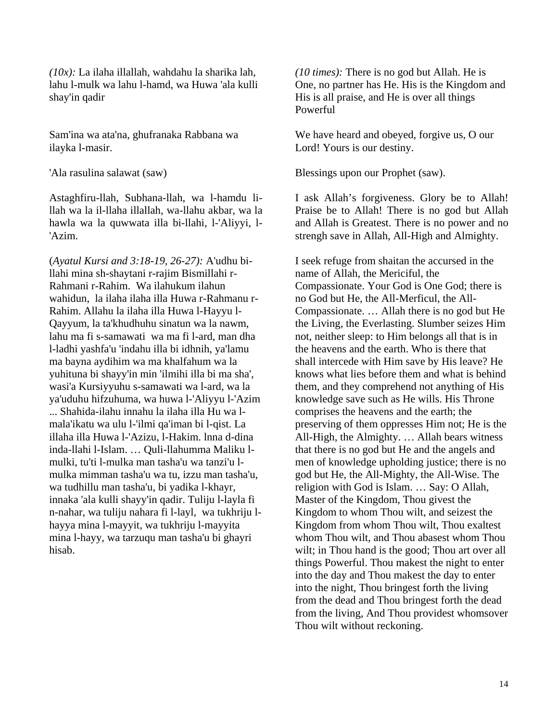*(10x):* La ilaha illallah, wahdahu la sharika lah, lahu l-mulk wa lahu l-hamd, wa Huwa 'ala kulli shay'in qadir

Sam'ina wa ata'na, ghufranaka Rabbana wa ilayka l-masir.

'Ala rasulina salawat (saw)

Astaghfiru-llah, Subhana-llah, wa l-hamdu lillah wa la il-llaha illallah, wa-llahu akbar, wa la hawla wa la quwwata illa bi-llahi, l-'Aliyyi, l- 'Azim.

(*Ayatul Kursi and 3:18-19, 26-27):* A'udhu billahi mina sh-shaytani r-rajim Bismillahi r-Rahmani r-Rahim. Wa ilahukum ilahun wahidun, la ilaha ilaha illa Huwa r-Rahmanu r-Rahim. Allahu la ilaha illa Huwa l-Hayyu l-Qayyum, la ta'khudhuhu sinatun wa la nawm, lahu ma fi s-samawati wa ma fi l-ard, man dha l-ladhi yashfa'u 'indahu illa bi idhnih, ya'lamu ma bayna aydihim wa ma khalfahum wa la yuhituna bi shayy'in min 'ilmihi illa bi ma sha', wasi'a Kursiyyuhu s-samawati wa l-ard, wa la ya'uduhu hifzuhuma, wa huwa l-'Aliyyu l-'Azim ... Shahida-ilahu innahu la ilaha illa Hu wa lmala'ikatu wa ulu l-'ilmi qa'iman bi l-qist. La illaha illa Huwa l-'Azizu, l-Hakim. lnna d-dina inda-llahi l-Islam. … Quli-llahumma Maliku lmulki, tu'ti l-mulka man tasha'u wa tanzi'u lmulka mimman tasha'u wa tu, izzu man tasha'u, wa tudhillu man tasha'u, bi yadika l-khayr, innaka 'ala kulli shayy'in qadir. Tuliju l-layla fi n-nahar, wa tuliju nahara fi l-layl, wa tukhriju lhayya mina l-mayyit, wa tukhriju l-mayyita mina l-hayy, wa tarzuqu man tasha'u bi ghayri hisab.

*(10 times):* There is no god but Allah. He is One, no partner has He. His is the Kingdom and His is all praise, and He is over all things Powerful

We have heard and obeyed, forgive us, O our Lord! Yours is our destiny.

Blessings upon our Prophet (saw).

I ask Allah's forgiveness. Glory be to Allah! Praise be to Allah! There is no god but Allah and Allah is Greatest. There is no power and no strengh save in Allah, All-High and Almighty.

I seek refuge from shaitan the accursed in the name of Allah, the Mericiful, the Compassionate. Your God is One God; there is no God but He, the All-Merficul, the All-Compassionate. … Allah there is no god but He the Living, the Everlasting. Slumber seizes Him not, neither sleep: to Him belongs all that is in the heavens and the earth. Who is there that shall intercede with Him save by His leave? He knows what lies before them and what is behind them, and they comprehend not anything of His knowledge save such as He wills. His Throne comprises the heavens and the earth; the preserving of them oppresses Him not; He is the All-High, the Almighty. … Allah bears witness that there is no god but He and the angels and men of knowledge upholding justice; there is no god but He, the All-Mighty, the All-Wise. The religion with God is Islam. … Say: O Allah, Master of the Kingdom, Thou givest the Kingdom to whom Thou wilt, and seizest the Kingdom from whom Thou wilt, Thou exaltest whom Thou wilt, and Thou abasest whom Thou wilt; in Thou hand is the good; Thou art over all things Powerful. Thou makest the night to enter into the day and Thou makest the day to enter into the night, Thou bringest forth the living from the dead and Thou bringest forth the dead from the living, And Thou providest whomsover Thou wilt without reckoning.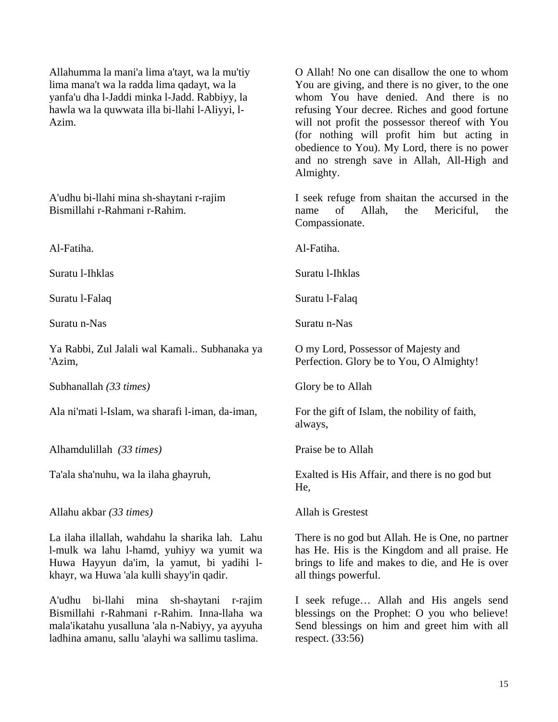Allahumma la mani'a lima a'tayt, wa la mu'tiy lima mana't wa la radda lima qadayt, wa la yanfa'u dha l-Jaddi minka l-Jadd. Rabbiyy, la hawla wa la quwwata illa bi-llahi l-Aliyyi, l-Azim.

A'udhu bi-llahi mina sh-shaytani r-rajim Bismillahi r-Rahmani r-Rahim.

Al-Fatiha.

Suratu l-Ihklas

Suratu l-Falaq

Suratu n-Nas

Ya Rabbi, Zul Jalali wal Kamali.. Subhanaka ya 'Azim,

Subhanallah *(33 times)*

Ala ni'mati l-Islam, wa sharafi l-iman, da-iman,

Alhamdulillah *(33 times)* 

Ta'ala sha'nuhu, wa la ilaha ghayruh,

Allahu akbar *(33 times)* 

La ilaha illallah, wahdahu la sharika lah. Lahu l-mulk wa lahu l-hamd, yuhiyy wa yumit wa Huwa Hayyun da'im, la yamut, bi yadihi lkhayr, wa Huwa 'ala kulli shayy'in qadir.

A'udhu bi-llahi mina sh-shaytani r-rajim Bismillahi r-Rahmani r-Rahim. Inna-llaha wa mala'ikatahu yusalluna 'ala n-Nabiyy, ya ayyuha ladhina amanu, sallu 'alayhi wa sallimu taslima.

O Allah! No one can disallow the one to whom You are giving, and there is no giver, to the one whom You have denied. And there is no refusing Your decree. Riches and good fortune will not profit the possessor thereof with You (for nothing will profit him but acting in obedience to You). My Lord, there is no power and no strengh save in Allah, All-High and Almighty.

I seek refuge from shaitan the accursed in the name of Allah, the Mericiful, the Compassionate.

Al-Fatiha.

Suratu l-Ihklas

Suratu l-Falaq

Suratu n-Nas

O my Lord, Possessor of Majesty and Perfection. Glory be to You, O Almighty!

Glory be to Allah

For the gift of Islam, the nobility of faith, always,

Praise be to Allah

Exalted is His Affair, and there is no god but He,

Allah is Grestest

There is no god but Allah. He is One, no partner has He. His is the Kingdom and all praise. He brings to life and makes to die, and He is over all things powerful.

I seek refuge… Allah and His angels send blessings on the Prophet: O you who believe! Send blessings on him and greet him with all respect. (33:56)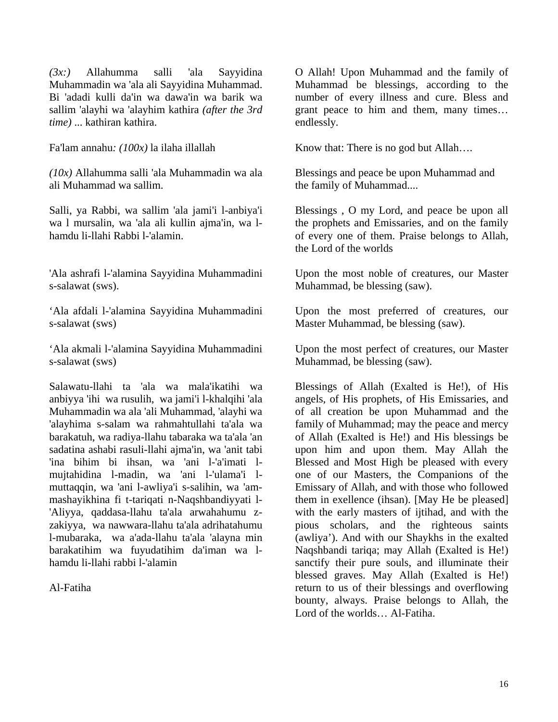*(3x:)* Allahumma salli 'ala Sayyidina Muhammadin wa 'ala ali Sayyidina Muhammad. Bi 'adadi kulli da'in wa dawa'in wa barik wa sallim 'alayhi wa 'alayhim kathira *(after the 3rd time)* ... kathiran kathira.

Fa'lam annahu*: (100x)* la ilaha illallah

*(10x)* Allahumma salli 'ala Muhammadin wa ala ali Muhammad wa sallim.

Salli, ya Rabbi, wa sallim 'ala jami'i l-anbiya'i wa l mursalin, wa 'ala ali kullin ajma'in, wa lhamdu li-llahi Rabbi l-'alamin.

'Ala ashrafi l-'alamina Sayyidina Muhammadini s-salawat (sws).

'Ala afdali l-'alamina Sayyidina Muhammadini s-salawat (sws)

'Ala akmali l-'alamina Sayyidina Muhammadini s-salawat (sws)

Salawatu-llahi ta 'ala wa mala'ikatihi wa anbiyya 'ihi wa rusulih, wa jami'i l-khalqihi 'ala Muhammadin wa ala 'ali Muhammad, 'alayhi wa 'alayhima s-salam wa rahmahtullahi ta'ala wa barakatuh, wa radiya-llahu tabaraka wa ta'ala 'an sadatina ashabi rasuli-llahi ajma'in, wa 'anit tabi 'ina bihim bi ihsan, wa 'ani l-'a'imati lmujtahidina l-madin, wa 'ani l-'ulama'i lmuttaqqin, wa 'ani l-awliya'i s-salihin, wa 'ammashayikhina fi t-tariqati n-Naqshbandiyyati l- 'Aliyya, qaddasa-llahu ta'ala arwahahumu zzakiyya, wa nawwara-llahu ta'ala adrihatahumu l-mubaraka, wa a'ada-llahu ta'ala 'alayna min barakatihim wa fuyudatihim da'iman wa lhamdu li-llahi rabbi l-'alamin

Al-Fatiha

O Allah! Upon Muhammad and the family of Muhammad be blessings, according to the number of every illness and cure. Bless and grant peace to him and them, many times… endlessly*.*

Know that: There is no god but Allah….

Blessings and peace be upon Muhammad and the family of Muhammad....

Blessings , O my Lord, and peace be upon all the prophets and Emissaries, and on the family of every one of them. Praise belongs to Allah, the Lord of the worlds

Upon the most noble of creatures, our Master Muhammad, be blessing (saw).

Upon the most preferred of creatures, our Master Muhammad, be blessing (saw).

Upon the most perfect of creatures, our Master Muhammad, be blessing (saw).

Blessings of Allah (Exalted is He!), of His angels, of His prophets, of His Emissaries, and of all creation be upon Muhammad and the family of Muhammad; may the peace and mercy of Allah (Exalted is He!) and His blessings be upon him and upon them. May Allah the Blessed and Most High be pleased with every one of our Masters, the Companions of the Emissary of Allah, and with those who followed them in exellence (ihsan). [May He be pleased] with the early masters of ijtihad, and with the pious scholars, and the righteous saints (awliya'). And with our Shaykhs in the exalted Naqshbandi tariqa; may Allah (Exalted is He!) sanctify their pure souls, and illuminate their blessed graves. May Allah (Exalted is He!) return to us of their blessings and overflowing bounty, always. Praise belongs to Allah, the Lord of the worlds… Al-Fatiha.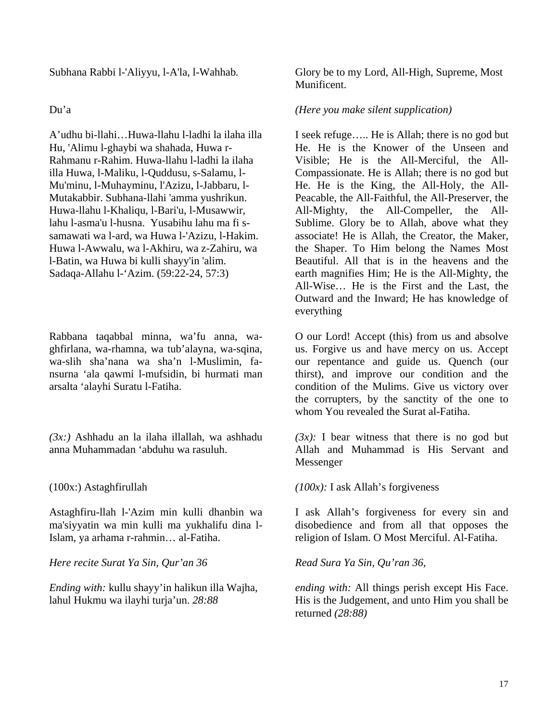Subhana Rabbi l-'Aliyyu, l-A'la, l-Wahhab*.* 

#### Du'a

A'udhu bi-llahi…Huwa-llahu l-ladhi la ilaha illa Hu, 'Alimu l-ghaybi wa shahada, Huwa r-Rahmanu r-Rahim. Huwa-llahu l-ladhi la ilaha illa Huwa, l-Maliku, l-Quddusu, s-Salamu, l-Mu'minu, l-Muhayminu, l'Azizu, l-Jabbaru, l-Mutakabbir. Subhana-llahi 'amma yushrikun. Huwa-llahu l-Khaliqu, l-Bari'u, l-Musawwir, lahu l-asma'u l-husna. Yusabihu lahu ma fi ssamawati wa l-ard, wa Huwa l-'Azizu, l-Hakim. Huwa l-Awwalu, wa l-Akhiru, wa z-Zahiru, wa l-Batin, wa Huwa bi kulli shayy'in 'alim. Sadaqa-Allahu l-'Azim. (59:22-24, 57:3)

Rabbana taqabbal minna, wa'fu anna, waghfirlana, wa-rhamna, wa tub'alayna, wa-sqina, wa-slih sha'nana wa sha'n l-Muslimin, fansurna 'ala qawmi l-mufsidin, bi hurmati man arsalta 'alayhi Suratu l-Fatiha.

*(3x:)* Ashhadu an la ilaha illallah, wa ashhadu anna Muhammadan 'abduhu wa rasuluh.

(100x:) Astaghfirullah

Astaghfiru-llah l-'Azim min kulli dhanbin wa ma'siyyatin wa min kulli ma yukhalifu dina l-Islam, ya arhama r-rahmin… al-Fatiha.

*Here recite Surat Ya Sin, Qur'an 36* 

*Ending with:* kullu shayy'in halikun illa Wajha, lahul Hukmu wa ilayhi turja'un. *28:88* 

Glory be to my Lord, All-High, Supreme, Most Munificent.

#### *(Here you make silent supplication)*

I seek refuge….. He is Allah; there is no god but He. He is the Knower of the Unseen and Visible; He is the All-Merciful, the All-Compassionate. He is Allah; there is no god but He. He is the King, the All-Holy, the All-Peacable, the All-Faithful, the All-Preserver, the All-Mighty, the All-Compeller, the All-Sublime. Glory be to Allah, above what they associate! He is Allah, the Creator, the Maker, the Shaper. To Him belong the Names Most Beautiful. All that is in the heavens and the earth magnifies Him; He is the All-Mighty, the All-Wise… He is the First and the Last, the Outward and the Inward; He has knowledge of everything

O our Lord! Accept (this) from us and absolve us. Forgive us and have mercy on us. Accept our repentance and guide us. Quench (our thirst), and improve our condition and the condition of the Mulims. Give us victory over the corrupters, by the sanctity of the one to whom You revealed the Surat al-Fatiha.

 $(3x)$ : I bear witness that there is no god but Allah and Muhammad is His Servant and Messenger

*(100x):* I ask Allah's forgiveness

I ask Allah's forgiveness for every sin and disobedience and from all that opposes the religion of Islam. O Most Merciful. Al-Fatiha.

*Read Sura Ya Sin, Qu'ran 36,* 

*ending with:* All things perish except His Face. His is the Judgement, and unto Him you shall be returned *(28:88)*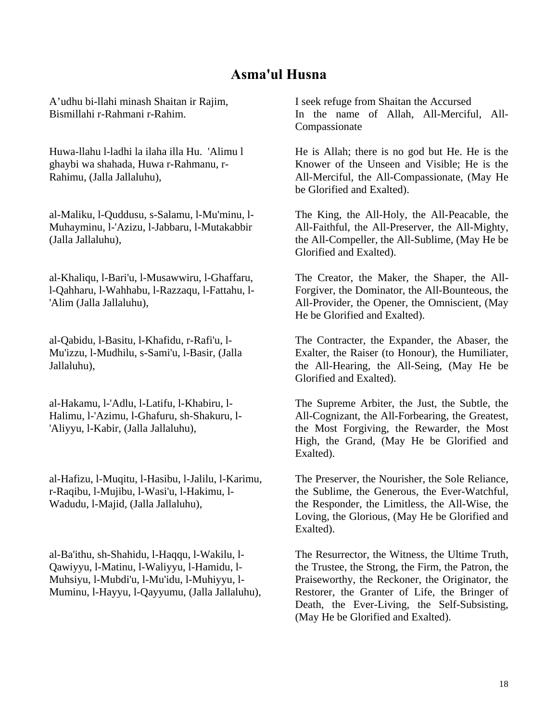## **Asma'ul Husna**

A'udhu bi-llahi minash Shaitan ir Rajim, Bismillahi r-Rahmani r-Rahim.

Huwa-llahu l-ladhi la ilaha illa Hu. 'Alimu l ghaybi wa shahada, Huwa r-Rahmanu, r-Rahimu, (Jalla Jallaluhu),

al-Maliku, l-Quddusu, s-Salamu, l-Mu'minu, l-Muhayminu, l-'Azizu, l-Jabbaru, l-Mutakabbir (Jalla Jallaluhu),

al-Khaliqu, l-Bari'u, l-Musawwiru, l-Ghaffaru, l-Qahharu, l-Wahhabu, l-Razzaqu, l-Fattahu, l- 'Alim (Jalla Jallaluhu),

al-Qabidu, l-Basitu, l-Khafidu, r-Rafi'u, l-Mu'izzu, l-Mudhilu, s-Sami'u, l-Basir, (Jalla Jallaluhu),

al-Hakamu, l-'Adlu, l-Latifu, l-Khabiru, l-Halimu, l-'Azimu, l-Ghafuru, sh-Shakuru, l- 'Aliyyu, l-Kabir, (Jalla Jallaluhu),

al-Hafizu, l-Muqitu, l-Hasibu, l-Jalilu, l-Karimu, r-Raqibu, l-Mujibu, l-Wasi'u, l-Hakimu, l-Wadudu, l-Majid, (Jalla Jallaluhu),

al-Ba'ithu, sh-Shahidu, l-Haqqu, l-Wakilu, l-Qawiyyu, l-Matinu, l-Waliyyu, l-Hamidu, l-Muhsiyu, l-Mubdi'u, l-Mu'idu, l-Muhiyyu, l-Muminu, l-Hayyu, l-Qayyumu, (Jalla Jallaluhu), I seek refuge from Shaitan the Accursed In the name of Allah, All-Merciful, All-Compassionate

He is Allah; there is no god but He. He is the Knower of the Unseen and Visible; He is the All-Merciful, the All-Compassionate, (May He be Glorified and Exalted).

The King, the All-Holy, the All-Peacable, the All-Faithful, the All-Preserver, the All-Mighty, the All-Compeller, the All-Sublime, (May He be Glorified and Exalted).

The Creator, the Maker, the Shaper, the All-Forgiver, the Dominator, the All-Bounteous, the All-Provider, the Opener, the Omniscient, (May He be Glorified and Exalted).

The Contracter, the Expander, the Abaser, the Exalter, the Raiser (to Honour), the Humiliater, the All-Hearing, the All-Seing, (May He be Glorified and Exalted).

The Supreme Arbiter, the Just, the Subtle, the All-Cognizant, the All-Forbearing, the Greatest, the Most Forgiving, the Rewarder, the Most High, the Grand, (May He be Glorified and Exalted).

The Preserver, the Nourisher, the Sole Reliance, the Sublime, the Generous, the Ever-Watchful, the Responder, the Limitless, the All-Wise, the Loving, the Glorious, (May He be Glorified and Exalted).

The Resurrector, the Witness, the Ultime Truth, the Trustee, the Strong, the Firm, the Patron, the Praiseworthy, the Reckoner, the Originator, the Restorer, the Granter of Life, the Bringer of Death, the Ever-Living, the Self-Subsisting, (May He be Glorified and Exalted).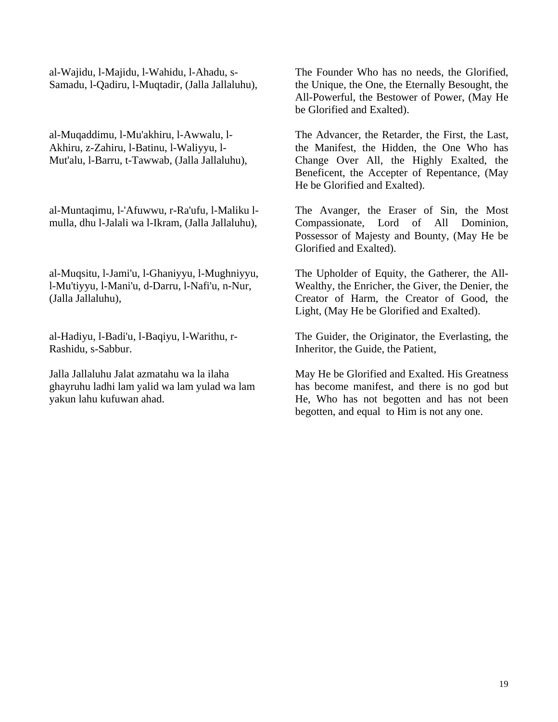al-Wajidu, l-Majidu, l-Wahidu, l-Ahadu, s-Samadu, l-Qadiru, l-Muqtadir, (Jalla Jallaluhu),

al-Muqaddimu, l-Mu'akhiru, l-Awwalu, l-Akhiru, z-Zahiru, l-Batinu, l-Waliyyu, l-Mut'alu, l-Barru, t-Tawwab, (Jalla Jallaluhu),

al-Muntaqimu, l-'Afuwwu, r-Ra'ufu, l-Maliku lmulla, dhu l-Jalali wa l-Ikram, (Jalla Jallaluhu),

al-Muqsitu, l-Jami'u, l-Ghaniyyu, l-Mughniyyu, l-Mu'tiyyu, l-Mani'u, d-Darru, l-Nafi'u, n-Nur, (Jalla Jallaluhu),

al-Hadiyu, l-Badi'u, l-Baqiyu, l-Warithu, r-Rashidu, s-Sabbur.

Jalla Jallaluhu Jalat azmatahu wa la ilaha ghayruhu ladhi lam yalid wa lam yulad wa lam yakun lahu kufuwan ahad.

The Founder Who has no needs, the Glorified, the Unique, the One, the Eternally Besought, the All-Powerful, the Bestower of Power, (May He be Glorified and Exalted).

The Advancer, the Retarder, the First, the Last, the Manifest, the Hidden, the One Who has Change Over All, the Highly Exalted, the Beneficent, the Accepter of Repentance, (May He be Glorified and Exalted).

The Avanger, the Eraser of Sin, the Most Compassionate, Lord of All Dominion, Possessor of Majesty and Bounty, (May He be Glorified and Exalted).

The Upholder of Equity, the Gatherer, the All-Wealthy, the Enricher, the Giver, the Denier, the Creator of Harm, the Creator of Good, the Light, (May He be Glorified and Exalted).

The Guider, the Originator, the Everlasting, the Inheritor, the Guide, the Patient,

May He be Glorified and Exalted. His Greatness has become manifest, and there is no god but He, Who has not begotten and has not been begotten, and equal to Him is not any one.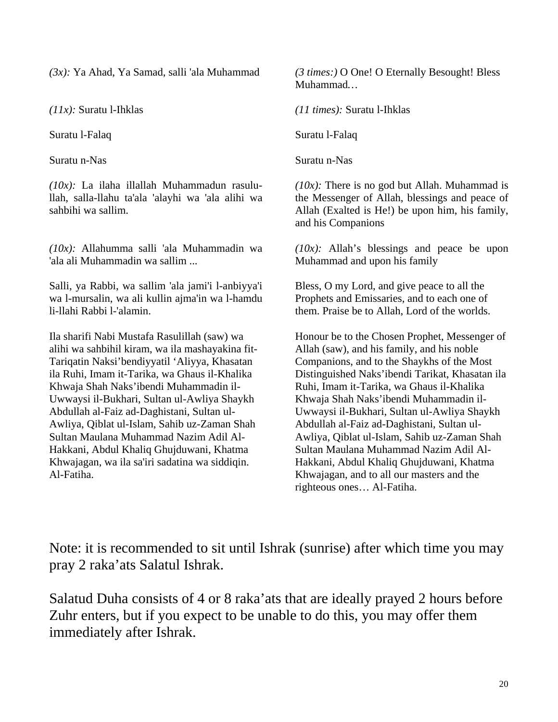*(3x):* Ya Ahad, Ya Samad, salli 'ala Muhammad

*(11x):* Suratu l-Ihklas

Suratu l-Falaq

Suratu n-Nas

*(10x):* La ilaha illallah Muhammadun rasulullah, salla-llahu ta'ala 'alayhi wa 'ala alihi wa sahbihi wa sallim.

*(10x):* Allahumma salli 'ala Muhammadin wa 'ala ali Muhammadin wa sallim ...

Salli, ya Rabbi, wa sallim 'ala jami'i l-anbiyya'i wa l-mursalin, wa ali kullin ajma'in wa l-hamdu li-llahi Rabbi l-'alamin.

Ila sharifi Nabi Mustafa Rasulillah (saw) wa alihi wa sahbihil kiram, wa ila mashayakina fit-Tariqatin Naksi'bendiyyatil 'Aliyya, Khasatan ila Ruhi, Imam it-Tarika, wa Ghaus il-Khalika Khwaja Shah Naks'ibendi Muhammadin il-Uwwaysi il-Bukhari, Sultan ul-Awliya Shaykh Abdullah al-Faiz ad-Daghistani, Sultan ul-Awliya, Qiblat ul-Islam, Sahib uz-Zaman Shah Sultan Maulana Muhammad Nazim Adil Al-Hakkani, Abdul Khaliq Ghujduwani, Khatma Khwajagan, wa ila sa'iri sadatina wa siddiqin. Al-Fatiha.

*(3 times:)* O One! O Eternally Besought! Bless Muhammad*…* 

*(11 times):* Suratu l-Ihklas

Suratu l-Falaq

Suratu n-Nas

*(10x):* There is no god but Allah. Muhammad is the Messenger of Allah, blessings and peace of Allah (Exalted is He!) be upon him, his family, and his Companions

*(10x):* Allah's blessings and peace be upon Muhammad and upon his family

Bless, O my Lord, and give peace to all the Prophets and Emissaries, and to each one of them. Praise be to Allah, Lord of the worlds.

Honour be to the Chosen Prophet, Messenger of Allah (saw), and his family, and his noble Companions, and to the Shaykhs of the Most Distinguished Naks'ibendi Tarikat, Khasatan ila Ruhi, Imam it-Tarika, wa Ghaus il-Khalika Khwaja Shah Naks'ibendi Muhammadin il-Uwwaysi il-Bukhari, Sultan ul-Awliya Shaykh Abdullah al-Faiz ad-Daghistani, Sultan ul-Awliya, Qiblat ul-Islam, Sahib uz-Zaman Shah Sultan Maulana Muhammad Nazim Adil Al-Hakkani, Abdul Khaliq Ghujduwani, Khatma Khwajagan, and to all our masters and the righteous ones… Al-Fatiha.

Note: it is recommended to sit until Ishrak (sunrise) after which time you may pray 2 raka'ats Salatul Ishrak.

Salatud Duha consists of 4 or 8 raka'ats that are ideally prayed 2 hours before Zuhr enters, but if you expect to be unable to do this, you may offer them immediately after Ishrak.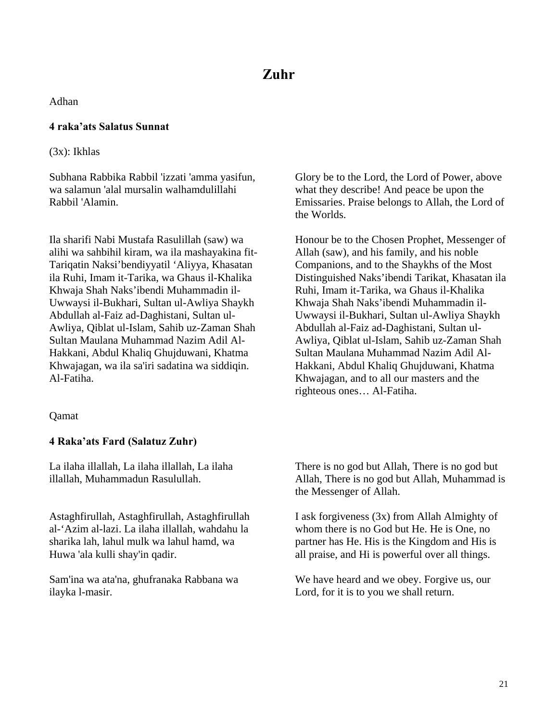Adhan

#### **4 raka'ats Salatus Sunnat**

(3x): Ikhlas

Subhana Rabbika Rabbil 'izzati 'amma yasifun, wa salamun 'alal mursalin walhamdulillahi Rabbil 'Alamin.

Ila sharifi Nabi Mustafa Rasulillah (saw) wa alihi wa sahbihil kiram, wa ila mashayakina fit-Tariqatin Naksi'bendiyyatil 'Aliyya, Khasatan ila Ruhi, Imam it-Tarika, wa Ghaus il-Khalika Khwaja Shah Naks'ibendi Muhammadin il-Uwwaysi il-Bukhari, Sultan ul-Awliya Shaykh Abdullah al-Faiz ad-Daghistani, Sultan ul-Awliya, Qiblat ul-Islam, Sahib uz-Zaman Shah Sultan Maulana Muhammad Nazim Adil Al-Hakkani, Abdul Khaliq Ghujduwani, Khatma Khwajagan, wa ila sa'iri sadatina wa siddiqin. Al-Fatiha.

Qamat

#### **4 Raka'ats Fard (Salatuz Zuhr)**

La ilaha illallah, La ilaha illallah, La ilaha illallah, Muhammadun Rasulullah.

Astaghfirullah, Astaghfirullah, Astaghfirullah al-'Azim al-lazi. La ilaha illallah, wahdahu la sharika lah, lahul mulk wa lahul hamd, wa Huwa 'ala kulli shay'in qadir.

Sam'ina wa ata'na, ghufranaka Rabbana wa ilayka l-masir.

Glory be to the Lord, the Lord of Power, above what they describe! And peace be upon the Emissaries. Praise belongs to Allah, the Lord of the Worlds.

Honour be to the Chosen Prophet, Messenger of Allah (saw), and his family, and his noble Companions, and to the Shaykhs of the Most Distinguished Naks'ibendi Tarikat, Khasatan ila Ruhi, Imam it-Tarika, wa Ghaus il-Khalika Khwaja Shah Naks'ibendi Muhammadin il-Uwwaysi il-Bukhari, Sultan ul-Awliya Shaykh Abdullah al-Faiz ad-Daghistani, Sultan ul-Awliya, Qiblat ul-Islam, Sahib uz-Zaman Shah Sultan Maulana Muhammad Nazim Adil Al-Hakkani, Abdul Khaliq Ghujduwani, Khatma Khwajagan, and to all our masters and the righteous ones… Al-Fatiha.

There is no god but Allah, There is no god but Allah, There is no god but Allah, Muhammad is the Messenger of Allah.

I ask forgiveness (3x) from Allah Almighty of whom there is no God but He. He is One, no partner has He. His is the Kingdom and His is all praise, and Hi is powerful over all things.

We have heard and we obey. Forgive us, our Lord, for it is to you we shall return.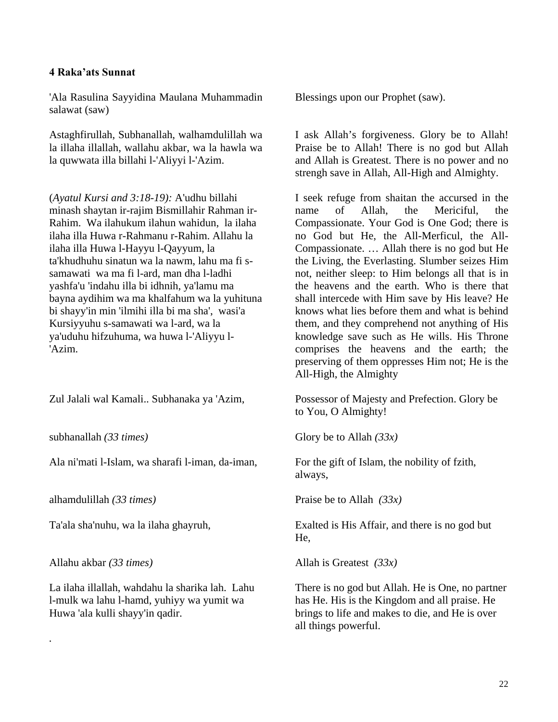#### **4 Raka'ats Sunnat**

'Ala Rasulina Sayyidina Maulana Muhammadin salawat (saw)

Astaghfirullah, Subhanallah, walhamdulillah wa la illaha illallah, wallahu akbar, wa la hawla wa la quwwata illa billahi l-'Aliyyi l-'Azim.

(*Ayatul Kursi and 3:18-19):* A'udhu billahi minash shaytan ir-rajim Bismillahir Rahman ir-Rahim. Wa ilahukum ilahun wahidun, la ilaha ilaha illa Huwa r-Rahmanu r-Rahim. Allahu la ilaha illa Huwa l-Hayyu l-Qayyum, la ta'khudhuhu sinatun wa la nawm, lahu ma fi ssamawati wa ma fi l-ard, man dha l-ladhi yashfa'u 'indahu illa bi idhnih, ya'lamu ma bayna aydihim wa ma khalfahum wa la yuhituna bi shayy'in min 'ilmihi illa bi ma sha', wasi'a Kursiyyuhu s-samawati wa l-ard, wa la ya'uduhu hifzuhuma, wa huwa l-'Aliyyu l- 'Azim.

Zul Jalali wal Kamali.. Subhanaka ya 'Azim,

subhanallah *(33 times)* 

Ala ni'mati l-Islam, wa sharafi l-iman, da-iman,

alhamdulillah *(33 times)* 

Ta'ala sha'nuhu, wa la ilaha ghayruh,

Allahu akbar *(33 times)* 

*.* 

La ilaha illallah, wahdahu la sharika lah. Lahu l-mulk wa lahu l-hamd, yuhiyy wa yumit wa Huwa 'ala kulli shayy'in qadir.

Blessings upon our Prophet (saw).

I ask Allah's forgiveness. Glory be to Allah! Praise be to Allah! There is no god but Allah and Allah is Greatest. There is no power and no strengh save in Allah, All-High and Almighty.

I seek refuge from shaitan the accursed in the name of Allah, the Mericiful, the Compassionate. Your God is One God; there is no God but He, the All-Merficul, the All-Compassionate. … Allah there is no god but He the Living, the Everlasting. Slumber seizes Him not, neither sleep: to Him belongs all that is in the heavens and the earth. Who is there that shall intercede with Him save by His leave? He knows what lies before them and what is behind them, and they comprehend not anything of His knowledge save such as He wills. His Throne comprises the heavens and the earth; the preserving of them oppresses Him not; He is the All-High, the Almighty

Possessor of Majesty and Prefection. Glory be to You, O Almighty!

Glory be to Allah *(33x)*

For the gift of Islam, the nobility of fzith, always,

Praise be to Allah *(33x)*

Exalted is His Affair, and there is no god but He,

Allah is Greatest *(33x)*

There is no god but Allah. He is One, no partner has He. His is the Kingdom and all praise. He brings to life and makes to die, and He is over all things powerful.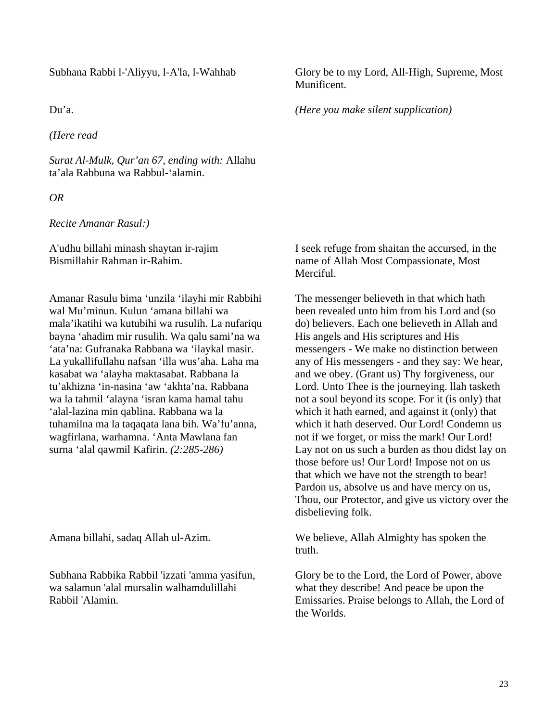#### Subhana Rabbi l-'Aliyyu, l-A'la, l-Wahhab

Du'a.

*(Here read* 

*Surat Al-Mulk, Qur'an 67, ending with:* Allahu ta'ala Rabbuna wa Rabbul-'alamin.

*OR* 

*Recite Amanar Rasul:)*

A'udhu billahi minash shaytan ir-rajim Bismillahir Rahman ir-Rahim.

Amanar Rasulu bima 'unzila 'ilayhi mir Rabbihi wal Mu'minun. Kulun 'amana billahi wa mala'ikatihi wa kutubihi wa rusulih. La nufariqu bayna 'ahadim mir rusulih. Wa qalu sami'na wa 'ata'na: Gufranaka Rabbana wa 'ilaykal masir. La yukallifullahu nafsan 'illa wus'aha. Laha ma kasabat wa 'alayha maktasabat. Rabbana la tu'akhizna 'in-nasina 'aw 'akhta'na. Rabbana wa la tahmil 'alayna 'isran kama hamal tahu 'alal-lazina min qablina. Rabbana wa la tuhamilna ma la taqaqata lana bih. Wa'fu'anna, wagfirlana, warhamna. 'Anta Mawlana fan surna 'alal qawmil Kafirin. *(2:285-286)*

Amana billahi, sadaq Allah ul-Azim.

Subhana Rabbika Rabbil 'izzati 'amma yasifun, wa salamun 'alal mursalin walhamdulillahi Rabbil 'Alamin.

Glory be to my Lord, All-High, Supreme, Most Munificent.

*(Here you make silent supplication)*

I seek refuge from shaitan the accursed, in the name of Allah Most Compassionate, Most Merciful.

The messenger believeth in that which hath been revealed unto him from his Lord and (so do) believers. Each one believeth in Allah and His angels and His scriptures and His messengers - We make no distinction between any of His messengers - and they say: We hear, and we obey. (Grant us) Thy forgiveness, our Lord. Unto Thee is the journeying. llah tasketh not a soul beyond its scope. For it (is only) that which it hath earned, and against it (only) that which it hath deserved. Our Lord! Condemn us not if we forget, or miss the mark! Our Lord! Lay not on us such a burden as thou didst lay on those before us! Our Lord! Impose not on us that which we have not the strength to bear! Pardon us, absolve us and have mercy on us, Thou, our Protector, and give us victory over the disbelieving folk.

We believe, Allah Almighty has spoken the truth.

Glory be to the Lord, the Lord of Power, above what they describe! And peace be upon the Emissaries. Praise belongs to Allah, the Lord of the Worlds.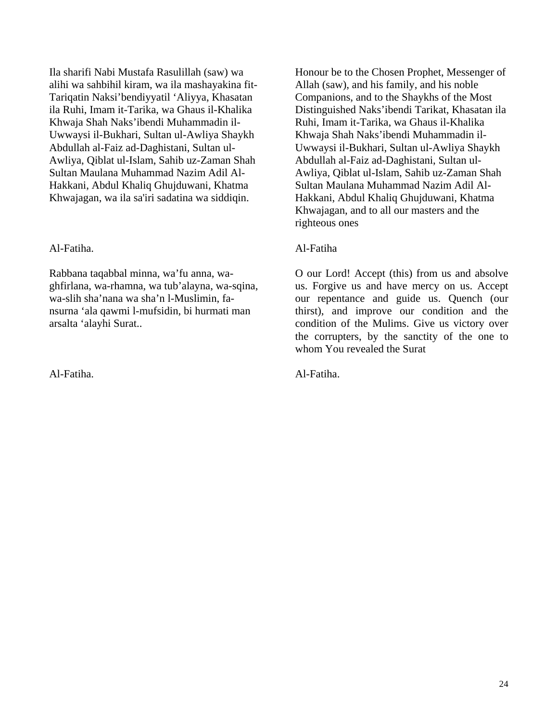Ila sharifi Nabi Mustafa Rasulillah (saw) wa alihi wa sahbihil kiram, wa ila mashayakina fit-Tariqatin Naksi'bendiyyatil 'Aliyya, Khasatan ila Ruhi, Imam it-Tarika, wa Ghaus il-Khalika Khwaja Shah Naks'ibendi Muhammadin il-Uwwaysi il-Bukhari, Sultan ul-Awliya Shaykh Abdullah al-Faiz ad-Daghistani, Sultan ul-Awliya, Qiblat ul-Islam, Sahib uz-Zaman Shah Sultan Maulana Muhammad Nazim Adil Al-Hakkani, Abdul Khaliq Ghujduwani, Khatma Khwajagan, wa ila sa'iri sadatina wa siddiqin.

#### Al-Fatiha.

Rabbana taqabbal minna, wa'fu anna, waghfirlana, wa-rhamna, wa tub'alayna, wa-sqina, wa-slih sha'nana wa sha'n l-Muslimin, fansurna 'ala qawmi l-mufsidin, bi hurmati man arsalta 'alayhi Surat..

Al-Fatiha.

Honour be to the Chosen Prophet, Messenger of Allah (saw), and his family, and his noble Companions, and to the Shaykhs of the Most Distinguished Naks'ibendi Tarikat, Khasatan ila Ruhi, Imam it-Tarika, wa Ghaus il-Khalika Khwaja Shah Naks'ibendi Muhammadin il-Uwwaysi il-Bukhari, Sultan ul-Awliya Shaykh Abdullah al-Faiz ad-Daghistani, Sultan ul-Awliya, Qiblat ul-Islam, Sahib uz-Zaman Shah Sultan Maulana Muhammad Nazim Adil Al-Hakkani, Abdul Khaliq Ghujduwani, Khatma Khwajagan, and to all our masters and the righteous ones

#### Al-Fatiha

O our Lord! Accept (this) from us and absolve us. Forgive us and have mercy on us. Accept our repentance and guide us. Quench (our thirst), and improve our condition and the condition of the Mulims. Give us victory over the corrupters, by the sanctity of the one to whom You revealed the Surat

Al-Fatiha.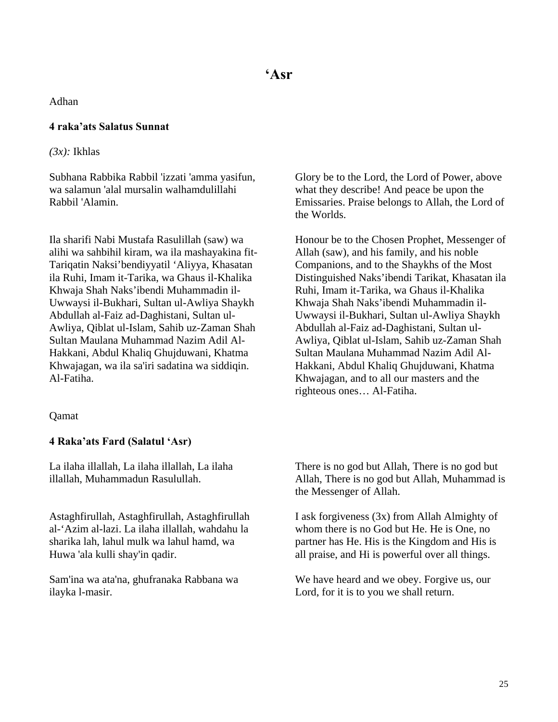Adhan

#### **4 raka'ats Salatus Sunnat**

*(3x):* Ikhlas

Subhana Rabbika Rabbil 'izzati 'amma yasifun, wa salamun 'alal mursalin walhamdulillahi Rabbil 'Alamin.

Ila sharifi Nabi Mustafa Rasulillah (saw) wa alihi wa sahbihil kiram, wa ila mashayakina fit-Tariqatin Naksi'bendiyyatil 'Aliyya, Khasatan ila Ruhi, Imam it-Tarika, wa Ghaus il-Khalika Khwaja Shah Naks'ibendi Muhammadin il-Uwwaysi il-Bukhari, Sultan ul-Awliya Shaykh Abdullah al-Faiz ad-Daghistani, Sultan ul-Awliya, Qiblat ul-Islam, Sahib uz-Zaman Shah Sultan Maulana Muhammad Nazim Adil Al-Hakkani, Abdul Khaliq Ghujduwani, Khatma Khwajagan, wa ila sa'iri sadatina wa siddiqin. Al-Fatiha.

#### Qamat

#### **4 Raka'ats Fard (Salatul 'Asr)**

La ilaha illallah, La ilaha illallah, La ilaha illallah, Muhammadun Rasulullah.

Astaghfirullah, Astaghfirullah, Astaghfirullah al-'Azim al-lazi. La ilaha illallah, wahdahu la sharika lah, lahul mulk wa lahul hamd, wa Huwa 'ala kulli shay'in qadir.

Sam'ina wa ata'na, ghufranaka Rabbana wa ilayka l-masir.

Glory be to the Lord, the Lord of Power, above what they describe! And peace be upon the Emissaries. Praise belongs to Allah, the Lord of the Worlds.

Honour be to the Chosen Prophet, Messenger of Allah (saw), and his family, and his noble Companions, and to the Shaykhs of the Most Distinguished Naks'ibendi Tarikat, Khasatan ila Ruhi, Imam it-Tarika, wa Ghaus il-Khalika Khwaja Shah Naks'ibendi Muhammadin il-Uwwaysi il-Bukhari, Sultan ul-Awliya Shaykh Abdullah al-Faiz ad-Daghistani, Sultan ul-Awliya, Qiblat ul-Islam, Sahib uz-Zaman Shah Sultan Maulana Muhammad Nazim Adil Al-Hakkani, Abdul Khaliq Ghujduwani, Khatma Khwajagan, and to all our masters and the righteous ones… Al-Fatiha.

There is no god but Allah, There is no god but Allah, There is no god but Allah, Muhammad is the Messenger of Allah.

I ask forgiveness (3x) from Allah Almighty of whom there is no God but He. He is One, no partner has He. His is the Kingdom and His is all praise, and Hi is powerful over all things.

We have heard and we obey. Forgive us, our Lord, for it is to you we shall return.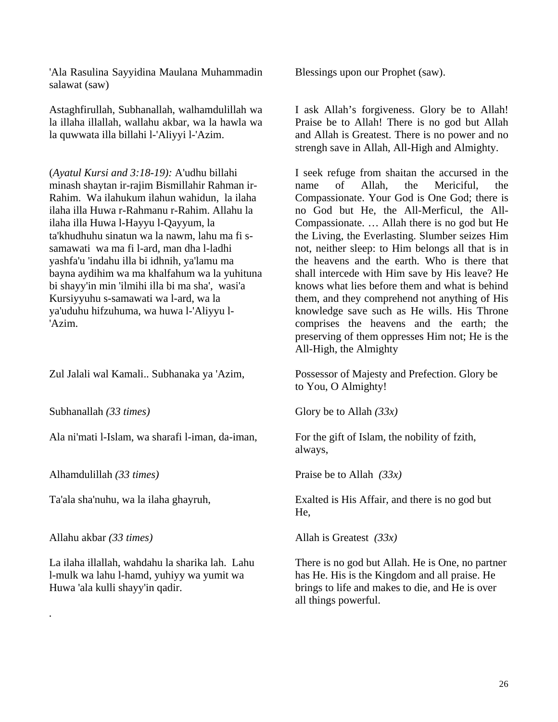'Ala Rasulina Sayyidina Maulana Muhammadin salawat (saw)

Astaghfirullah, Subhanallah, walhamdulillah wa la illaha illallah, wallahu akbar, wa la hawla wa la quwwata illa billahi l-'Aliyyi l-'Azim.

(*Ayatul Kursi and 3:18-19):* A'udhu billahi minash shaytan ir-rajim Bismillahir Rahman ir-Rahim. Wa ilahukum ilahun wahidun, la ilaha ilaha illa Huwa r-Rahmanu r-Rahim. Allahu la ilaha illa Huwa l-Hayyu l-Qayyum, la ta'khudhuhu sinatun wa la nawm, lahu ma fi ssamawati wa ma fi l-ard, man dha l-ladhi yashfa'u 'indahu illa bi idhnih, ya'lamu ma bayna aydihim wa ma khalfahum wa la yuhituna bi shayy'in min 'ilmihi illa bi ma sha', wasi'a Kursiyyuhu s-samawati wa l-ard, wa la ya'uduhu hifzuhuma, wa huwa l-'Aliyyu l- 'Azim.

Zul Jalali wal Kamali.. Subhanaka ya 'Azim,

Subhanallah *(33 times)* 

Ala ni'mati l-Islam, wa sharafi l-iman, da-iman,

Alhamdulillah *(33 times)* 

Ta'ala sha'nuhu, wa la ilaha ghayruh,

Allahu akbar *(33 times)* 

*.* 

La ilaha illallah, wahdahu la sharika lah. Lahu l-mulk wa lahu l-hamd, yuhiyy wa yumit wa Huwa 'ala kulli shayy'in qadir.

Blessings upon our Prophet (saw).

I ask Allah's forgiveness. Glory be to Allah! Praise be to Allah! There is no god but Allah and Allah is Greatest. There is no power and no strengh save in Allah, All-High and Almighty.

I seek refuge from shaitan the accursed in the name of Allah, the Mericiful, the Compassionate. Your God is One God; there is no God but He, the All-Merficul, the All-Compassionate. … Allah there is no god but He the Living, the Everlasting. Slumber seizes Him not, neither sleep: to Him belongs all that is in the heavens and the earth. Who is there that shall intercede with Him save by His leave? He knows what lies before them and what is behind them, and they comprehend not anything of His knowledge save such as He wills. His Throne comprises the heavens and the earth; the preserving of them oppresses Him not; He is the All-High, the Almighty

Possessor of Majesty and Prefection. Glory be to You, O Almighty!

Glory be to Allah *(33x)*

For the gift of Islam, the nobility of fzith, always,

Praise be to Allah *(33x)*

Exalted is His Affair, and there is no god but He,

Allah is Greatest *(33x)*

There is no god but Allah. He is One, no partner has He. His is the Kingdom and all praise. He brings to life and makes to die, and He is over all things powerful.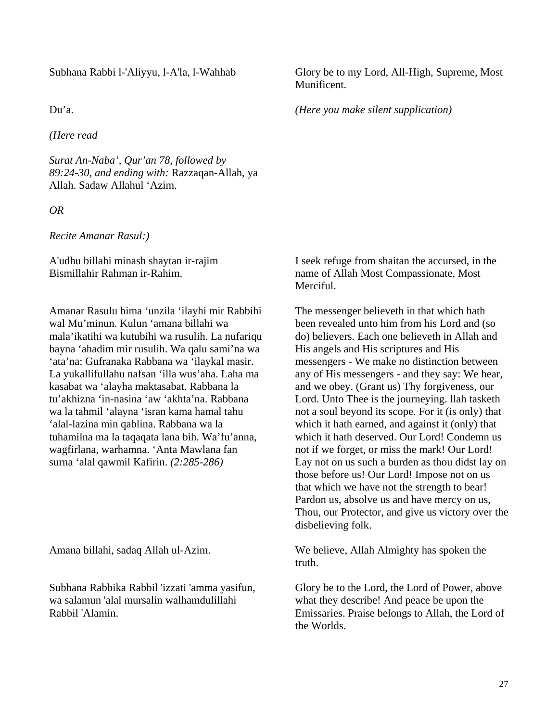Subhana Rabbi l-'Aliyyu, l-A'la, l-Wahhab

Du'a.

*(Here read* 

*Surat An-Naba', Qur'an 78, followed by 89:24-30, and ending with:* Razzaqan-Allah, ya Allah. Sadaw Allahul 'Azim.

*OR* 

*Recite Amanar Rasul:)*

A'udhu billahi minash shaytan ir-rajim Bismillahir Rahman ir-Rahim.

Amanar Rasulu bima 'unzila 'ilayhi mir Rabbihi wal Mu'minun. Kulun 'amana billahi wa mala'ikatihi wa kutubihi wa rusulih. La nufariqu bayna 'ahadim mir rusulih. Wa qalu sami'na wa 'ata'na: Gufranaka Rabbana wa 'ilaykal masir. La yukallifullahu nafsan 'illa wus'aha. Laha ma kasabat wa 'alayha maktasabat. Rabbana la tu'akhizna 'in-nasina 'aw 'akhta'na. Rabbana wa la tahmil 'alayna 'isran kama hamal tahu 'alal-lazina min qablina. Rabbana wa la tuhamilna ma la taqaqata lana bih. Wa'fu'anna, wagfirlana, warhamna. 'Anta Mawlana fan surna 'alal qawmil Kafirin. *(2:285-286)*

Amana billahi, sadaq Allah ul-Azim.

Subhana Rabbika Rabbil 'izzati 'amma yasifun, wa salamun 'alal mursalin walhamdulillahi Rabbil 'Alamin.

Glory be to my Lord, All-High, Supreme, Most Munificent.

*(Here you make silent supplication)*

I seek refuge from shaitan the accursed, in the name of Allah Most Compassionate, Most Merciful.

The messenger believeth in that which hath been revealed unto him from his Lord and (so do) believers. Each one believeth in Allah and His angels and His scriptures and His messengers - We make no distinction between any of His messengers - and they say: We hear, and we obey. (Grant us) Thy forgiveness, our Lord. Unto Thee is the journeying. llah tasketh not a soul beyond its scope. For it (is only) that which it hath earned, and against it (only) that which it hath deserved. Our Lord! Condemn us not if we forget, or miss the mark! Our Lord! Lay not on us such a burden as thou didst lay on those before us! Our Lord! Impose not on us that which we have not the strength to bear! Pardon us, absolve us and have mercy on us, Thou, our Protector, and give us victory over the disbelieving folk.

We believe, Allah Almighty has spoken the truth.

Glory be to the Lord, the Lord of Power, above what they describe! And peace be upon the Emissaries. Praise belongs to Allah, the Lord of the Worlds.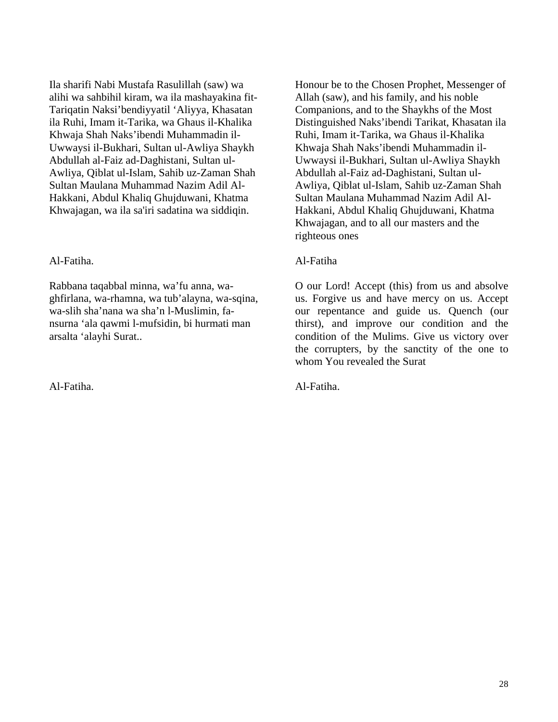Ila sharifi Nabi Mustafa Rasulillah (saw) wa alihi wa sahbihil kiram, wa ila mashayakina fit-Tariqatin Naksi'bendiyyatil 'Aliyya, Khasatan ila Ruhi, Imam it-Tarika, wa Ghaus il-Khalika Khwaja Shah Naks'ibendi Muhammadin il-Uwwaysi il-Bukhari, Sultan ul-Awliya Shaykh Abdullah al-Faiz ad-Daghistani, Sultan ul-Awliya, Qiblat ul-Islam, Sahib uz-Zaman Shah Sultan Maulana Muhammad Nazim Adil Al-Hakkani, Abdul Khaliq Ghujduwani, Khatma Khwajagan, wa ila sa'iri sadatina wa siddiqin.

#### Al-Fatiha.

Rabbana taqabbal minna, wa'fu anna, waghfirlana, wa-rhamna, wa tub'alayna, wa-sqina, wa-slih sha'nana wa sha'n l-Muslimin, fansurna 'ala qawmi l-mufsidin, bi hurmati man arsalta 'alayhi Surat..

Al-Fatiha.

Honour be to the Chosen Prophet, Messenger of Allah (saw), and his family, and his noble Companions, and to the Shaykhs of the Most Distinguished Naks'ibendi Tarikat, Khasatan ila Ruhi, Imam it-Tarika, wa Ghaus il-Khalika Khwaja Shah Naks'ibendi Muhammadin il-Uwwaysi il-Bukhari, Sultan ul-Awliya Shaykh Abdullah al-Faiz ad-Daghistani, Sultan ul-Awliya, Qiblat ul-Islam, Sahib uz-Zaman Shah Sultan Maulana Muhammad Nazim Adil Al-Hakkani, Abdul Khaliq Ghujduwani, Khatma Khwajagan, and to all our masters and the righteous ones

#### Al-Fatiha

O our Lord! Accept (this) from us and absolve us. Forgive us and have mercy on us. Accept our repentance and guide us. Quench (our thirst), and improve our condition and the condition of the Mulims. Give us victory over the corrupters, by the sanctity of the one to whom You revealed the Surat

Al-Fatiha.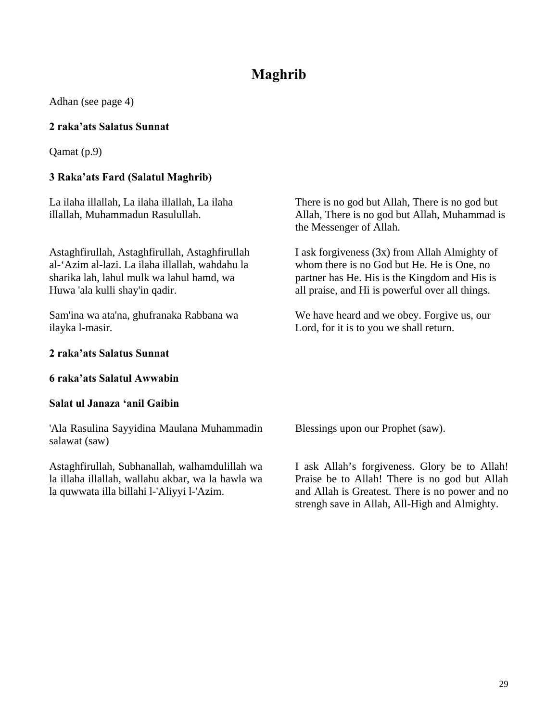## **Maghrib**

Adhan (see page 4)

#### **2 raka'ats Salatus Sunnat**

Qamat (p.9)

#### **3 Raka'ats Fard (Salatul Maghrib)**

La ilaha illallah, La ilaha illallah, La ilaha illallah, Muhammadun Rasulullah.

Astaghfirullah, Astaghfirullah, Astaghfirullah al-'Azim al-lazi. La ilaha illallah, wahdahu la sharika lah, lahul mulk wa lahul hamd, wa Huwa 'ala kulli shay'in qadir.

Sam'ina wa ata'na, ghufranaka Rabbana wa ilayka l-masir.

#### **2 raka'ats Salatus Sunnat**

#### **6 raka'ats Salatul Awwabin**

#### **Salat ul Janaza 'anil Gaibin**

'Ala Rasulina Sayyidina Maulana Muhammadin salawat (saw)

Astaghfirullah, Subhanallah, walhamdulillah wa la illaha illallah, wallahu akbar, wa la hawla wa la quwwata illa billahi l-'Aliyyi l-'Azim.

There is no god but Allah, There is no god but Allah, There is no god but Allah, Muhammad is the Messenger of Allah.

I ask forgiveness (3x) from Allah Almighty of whom there is no God but He. He is One, no partner has He. His is the Kingdom and His is all praise, and Hi is powerful over all things.

We have heard and we obey. Forgive us, our Lord, for it is to you we shall return.

Blessings upon our Prophet (saw).

I ask Allah's forgiveness. Glory be to Allah! Praise be to Allah! There is no god but Allah and Allah is Greatest. There is no power and no strengh save in Allah, All-High and Almighty.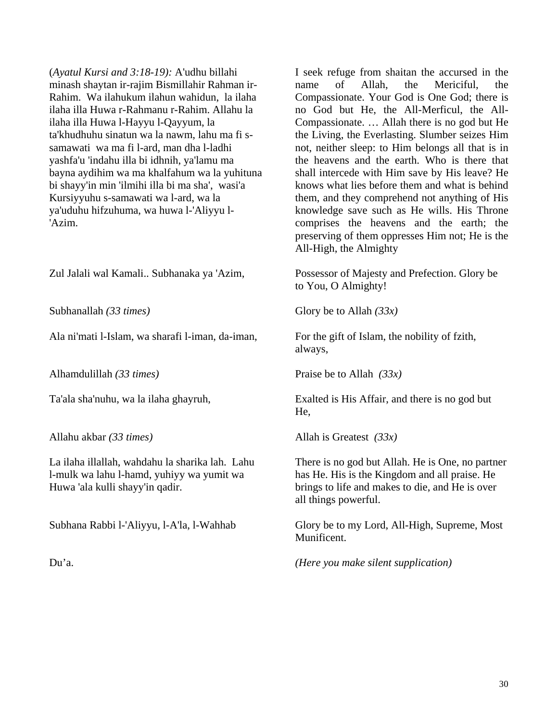(*Ayatul Kursi and 3:18-19):* A'udhu billahi minash shaytan ir-rajim Bismillahir Rahman ir-Rahim. Wa ilahukum ilahun wahidun, la ilaha ilaha illa Huwa r-Rahmanu r-Rahim. Allahu la ilaha illa Huwa l-Hayyu l-Qayyum, la ta'khudhuhu sinatun wa la nawm, lahu ma fi ssamawati wa ma fi l-ard, man dha l-ladhi yashfa'u 'indahu illa bi idhnih, ya'lamu ma bayna aydihim wa ma khalfahum wa la yuhituna bi shayy'in min 'ilmihi illa bi ma sha', wasi'a Kursiyyuhu s-samawati wa l-ard, wa la ya'uduhu hifzuhuma, wa huwa l-'Aliyyu l- 'Azim.

Zul Jalali wal Kamali.. Subhanaka ya 'Azim,

Subhanallah *(33 times)* 

Ala ni'mati l-Islam, wa sharafi l-iman, da-iman,

Alhamdulillah *(33 times)* 

Ta'ala sha'nuhu, wa la ilaha ghayruh,

Allahu akbar *(33 times)* 

La ilaha illallah, wahdahu la sharika lah. Lahu l-mulk wa lahu l-hamd, yuhiyy wa yumit wa Huwa 'ala kulli shayy'in qadir.

Subhana Rabbi l-'Aliyyu, l-A'la, l-Wahhab

Du'a.

I seek refuge from shaitan the accursed in the name of Allah, the Mericiful, the Compassionate. Your God is One God; there is no God but He, the All-Merficul, the All-Compassionate. … Allah there is no god but He the Living, the Everlasting. Slumber seizes Him not, neither sleep: to Him belongs all that is in the heavens and the earth. Who is there that shall intercede with Him save by His leave? He knows what lies before them and what is behind them, and they comprehend not anything of His knowledge save such as He wills. His Throne comprises the heavens and the earth; the preserving of them oppresses Him not; He is the All-High, the Almighty

Possessor of Majesty and Prefection. Glory be to You, O Almighty!

Glory be to Allah *(33x)*

For the gift of Islam, the nobility of fzith, always,

Praise be to Allah *(33x)*

Exalted is His Affair, and there is no god but He,

Allah is Greatest *(33x)*

There is no god but Allah. He is One, no partner has He. His is the Kingdom and all praise. He brings to life and makes to die, and He is over all things powerful.

Glory be to my Lord, All-High, Supreme, Most Munificent.

*(Here you make silent supplication)*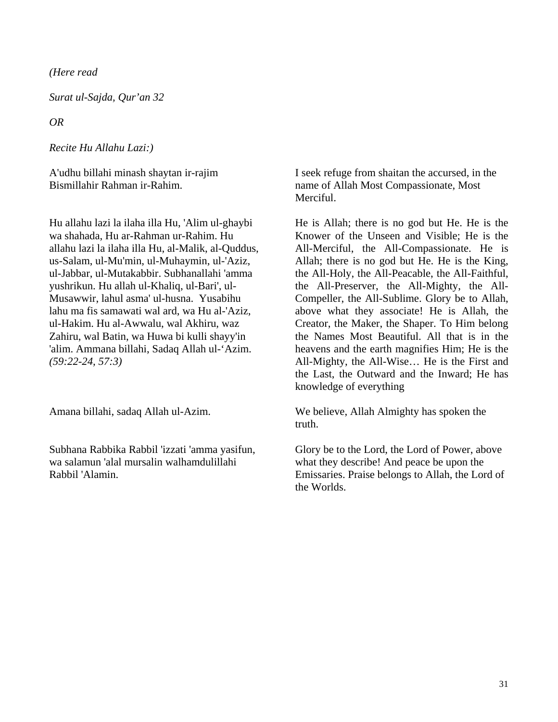*(Here read* 

*Surat ul-Sajda, Qur'an 32* 

*OR* 

*Recite Hu Allahu Lazi:)*

A'udhu billahi minash shaytan ir-rajim Bismillahir Rahman ir-Rahim.

Hu allahu lazi la ilaha illa Hu, 'Alim ul-ghaybi wa shahada, Hu ar-Rahman ur-Rahim. Hu allahu lazi la ilaha illa Hu, al-Malik, al-Quddus, us-Salam, ul-Mu'min, ul-Muhaymin, ul-'Aziz, ul-Jabbar, ul-Mutakabbir. Subhanallahi 'amma yushrikun. Hu allah ul-Khaliq, ul-Bari', ul-Musawwir, lahul asma' ul-husna. Yusabihu lahu ma fis samawati wal ard, wa Hu al-'Aziz, ul-Hakim. Hu al-Awwalu, wal Akhiru, waz Zahiru, wal Batin, wa Huwa bi kulli shayy'in 'alim. Ammana billahi, Sadaq Allah ul-'Azim. *(59:22-24, 57:3)*

Amana billahi, sadaq Allah ul-Azim.

Subhana Rabbika Rabbil 'izzati 'amma yasifun, wa salamun 'alal mursalin walhamdulillahi Rabbil 'Alamin.

I seek refuge from shaitan the accursed, in the name of Allah Most Compassionate, Most Merciful.

He is Allah; there is no god but He. He is the Knower of the Unseen and Visible; He is the All-Merciful, the All-Compassionate. He is Allah; there is no god but He. He is the King, the All-Holy, the All-Peacable, the All-Faithful, the All-Preserver, the All-Mighty, the All-Compeller, the All-Sublime. Glory be to Allah, above what they associate! He is Allah, the Creator, the Maker, the Shaper. To Him belong the Names Most Beautiful. All that is in the heavens and the earth magnifies Him; He is the All-Mighty, the All-Wise… He is the First and the Last, the Outward and the Inward; He has knowledge of everything

We believe, Allah Almighty has spoken the truth.

Glory be to the Lord, the Lord of Power, above what they describe! And peace be upon the Emissaries. Praise belongs to Allah, the Lord of the Worlds.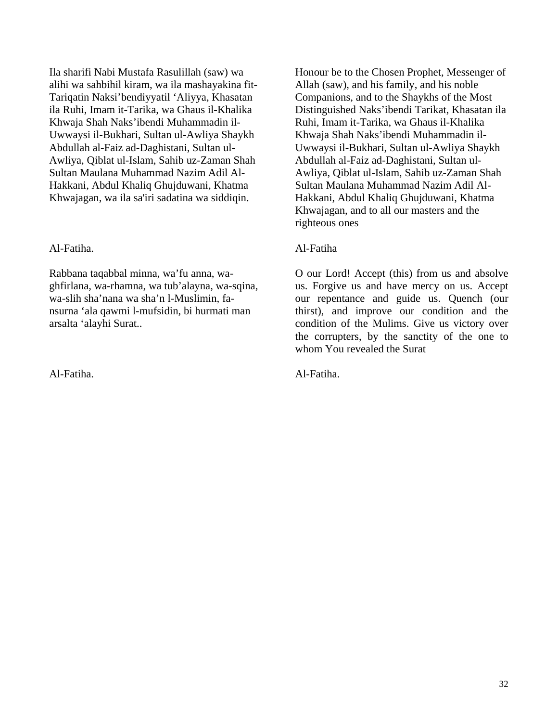Ila sharifi Nabi Mustafa Rasulillah (saw) wa alihi wa sahbihil kiram, wa ila mashayakina fit-Tariqatin Naksi'bendiyyatil 'Aliyya, Khasatan ila Ruhi, Imam it-Tarika, wa Ghaus il-Khalika Khwaja Shah Naks'ibendi Muhammadin il-Uwwaysi il-Bukhari, Sultan ul-Awliya Shaykh Abdullah al-Faiz ad-Daghistani, Sultan ul-Awliya, Qiblat ul-Islam, Sahib uz-Zaman Shah Sultan Maulana Muhammad Nazim Adil Al-Hakkani, Abdul Khaliq Ghujduwani, Khatma Khwajagan, wa ila sa'iri sadatina wa siddiqin.

#### Al-Fatiha.

Rabbana taqabbal minna, wa'fu anna, waghfirlana, wa-rhamna, wa tub'alayna, wa-sqina, wa-slih sha'nana wa sha'n l-Muslimin, fansurna 'ala qawmi l-mufsidin, bi hurmati man arsalta 'alayhi Surat..

Al-Fatiha.

Honour be to the Chosen Prophet, Messenger of Allah (saw), and his family, and his noble Companions, and to the Shaykhs of the Most Distinguished Naks'ibendi Tarikat, Khasatan ila Ruhi, Imam it-Tarika, wa Ghaus il-Khalika Khwaja Shah Naks'ibendi Muhammadin il-Uwwaysi il-Bukhari, Sultan ul-Awliya Shaykh Abdullah al-Faiz ad-Daghistani, Sultan ul-Awliya, Qiblat ul-Islam, Sahib uz-Zaman Shah Sultan Maulana Muhammad Nazim Adil Al-Hakkani, Abdul Khaliq Ghujduwani, Khatma Khwajagan, and to all our masters and the righteous ones

#### Al-Fatiha

O our Lord! Accept (this) from us and absolve us. Forgive us and have mercy on us. Accept our repentance and guide us. Quench (our thirst), and improve our condition and the condition of the Mulims. Give us victory over the corrupters, by the sanctity of the one to whom You revealed the Surat

Al-Fatiha.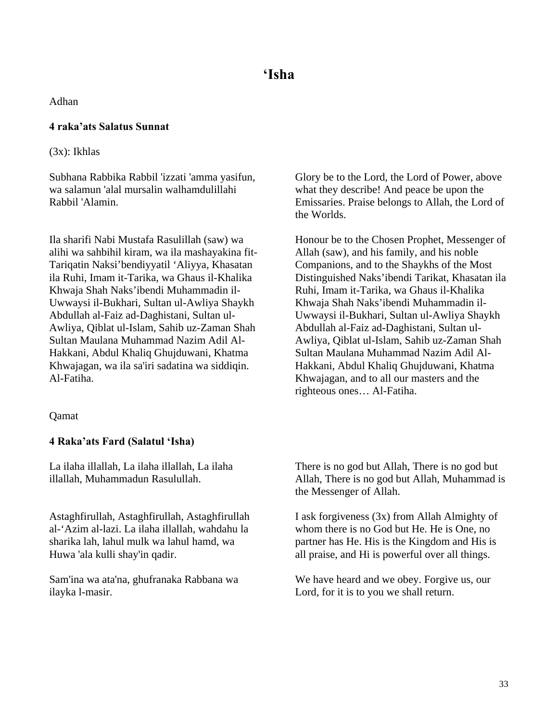Adhan

#### **4 raka'ats Salatus Sunnat**

(3x): Ikhlas

Subhana Rabbika Rabbil 'izzati 'amma yasifun, wa salamun 'alal mursalin walhamdulillahi Rabbil 'Alamin.

Ila sharifi Nabi Mustafa Rasulillah (saw) wa alihi wa sahbihil kiram, wa ila mashayakina fit-Tariqatin Naksi'bendiyyatil 'Aliyya, Khasatan ila Ruhi, Imam it-Tarika, wa Ghaus il-Khalika Khwaja Shah Naks'ibendi Muhammadin il-Uwwaysi il-Bukhari, Sultan ul-Awliya Shaykh Abdullah al-Faiz ad-Daghistani, Sultan ul-Awliya, Qiblat ul-Islam, Sahib uz-Zaman Shah Sultan Maulana Muhammad Nazim Adil Al-Hakkani, Abdul Khaliq Ghujduwani, Khatma Khwajagan, wa ila sa'iri sadatina wa siddiqin. Al-Fatiha.

#### Qamat

#### **4 Raka'ats Fard (Salatul 'Isha)**

La ilaha illallah, La ilaha illallah, La ilaha illallah, Muhammadun Rasulullah.

Astaghfirullah, Astaghfirullah, Astaghfirullah al-'Azim al-lazi. La ilaha illallah, wahdahu la sharika lah, lahul mulk wa lahul hamd, wa Huwa 'ala kulli shay'in qadir.

Sam'ina wa ata'na, ghufranaka Rabbana wa ilayka l-masir.

Glory be to the Lord, the Lord of Power, above what they describe! And peace be upon the Emissaries. Praise belongs to Allah, the Lord of the Worlds.

Honour be to the Chosen Prophet, Messenger of Allah (saw), and his family, and his noble Companions, and to the Shaykhs of the Most Distinguished Naks'ibendi Tarikat, Khasatan ila Ruhi, Imam it-Tarika, wa Ghaus il-Khalika Khwaja Shah Naks'ibendi Muhammadin il-Uwwaysi il-Bukhari, Sultan ul-Awliya Shaykh Abdullah al-Faiz ad-Daghistani, Sultan ul-Awliya, Qiblat ul-Islam, Sahib uz-Zaman Shah Sultan Maulana Muhammad Nazim Adil Al-Hakkani, Abdul Khaliq Ghujduwani, Khatma Khwajagan, and to all our masters and the righteous ones… Al-Fatiha.

There is no god but Allah, There is no god but Allah, There is no god but Allah, Muhammad is the Messenger of Allah.

I ask forgiveness (3x) from Allah Almighty of whom there is no God but He. He is One, no partner has He. His is the Kingdom and His is all praise, and Hi is powerful over all things.

We have heard and we obey. Forgive us, our Lord, for it is to you we shall return.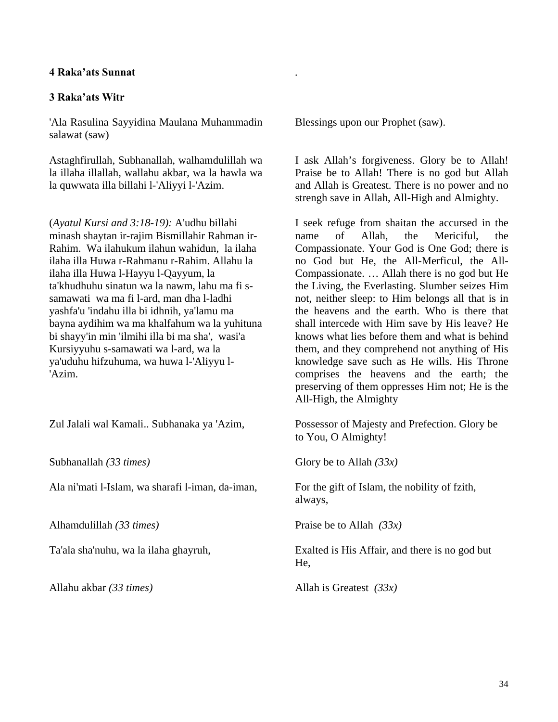#### **4 Raka'ats Sunnat**

#### **3 Raka'ats Witr**

'Ala Rasulina Sayyidina Maulana Muhammadin salawat (saw)

Astaghfirullah, Subhanallah, walhamdulillah wa la illaha illallah, wallahu akbar, wa la hawla wa la quwwata illa billahi l-'Aliyyi l-'Azim.

(*Ayatul Kursi and 3:18-19):* A'udhu billahi minash shaytan ir-rajim Bismillahir Rahman ir-Rahim. Wa ilahukum ilahun wahidun, la ilaha ilaha illa Huwa r-Rahmanu r-Rahim. Allahu la ilaha illa Huwa l-Hayyu l-Qayyum, la ta'khudhuhu sinatun wa la nawm, lahu ma fi ssamawati wa ma fi l-ard, man dha l-ladhi yashfa'u 'indahu illa bi idhnih, ya'lamu ma bayna aydihim wa ma khalfahum wa la yuhituna bi shayy'in min 'ilmihi illa bi ma sha', wasi'a Kursiyyuhu s-samawati wa l-ard, wa la ya'uduhu hifzuhuma, wa huwa l-'Aliyyu l- 'Azim.

Zul Jalali wal Kamali.. Subhanaka ya 'Azim,

Subhanallah *(33 times)* 

Ala ni'mati l-Islam, wa sharafi l-iman, da-iman,

Alhamdulillah *(33 times)* 

Ta'ala sha'nuhu, wa la ilaha ghayruh,

Allahu akbar *(33 times)* 

Blessings upon our Prophet (saw).

*.* 

I ask Allah's forgiveness. Glory be to Allah! Praise be to Allah! There is no god but Allah and Allah is Greatest. There is no power and no strengh save in Allah, All-High and Almighty.

I seek refuge from shaitan the accursed in the name of Allah, the Mericiful, the Compassionate. Your God is One God; there is no God but He, the All-Merficul, the All-Compassionate. … Allah there is no god but He the Living, the Everlasting. Slumber seizes Him not, neither sleep: to Him belongs all that is in the heavens and the earth. Who is there that shall intercede with Him save by His leave? He knows what lies before them and what is behind them, and they comprehend not anything of His knowledge save such as He wills. His Throne comprises the heavens and the earth; the preserving of them oppresses Him not; He is the All-High, the Almighty

Possessor of Majesty and Prefection. Glory be to You, O Almighty!

Glory be to Allah *(33x)*

For the gift of Islam, the nobility of fzith, always,

Praise be to Allah *(33x)*

Exalted is His Affair, and there is no god but He,

Allah is Greatest *(33x)*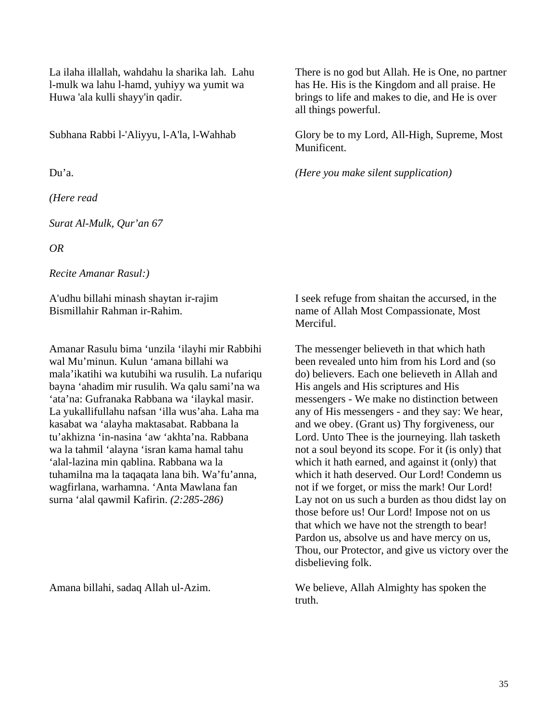La ilaha illallah, wahdahu la sharika lah. Lahu l-mulk wa lahu l-hamd, yuhiyy wa yumit wa Huwa 'ala kulli shayy'in qadir.

Subhana Rabbi l-'Aliyyu, l-A'la, l-Wahhab

Du'a.

*(Here read* 

*Surat Al-Mulk, Qur'an 67* 

*OR* 

*Recite Amanar Rasul:)*

A'udhu billahi minash shaytan ir-rajim Bismillahir Rahman ir-Rahim.

Amanar Rasulu bima 'unzila 'ilayhi mir Rabbihi wal Mu'minun. Kulun 'amana billahi wa mala'ikatihi wa kutubihi wa rusulih. La nufariqu bayna 'ahadim mir rusulih. Wa qalu sami'na wa 'ata'na: Gufranaka Rabbana wa 'ilaykal masir. La yukallifullahu nafsan 'illa wus'aha. Laha ma kasabat wa 'alayha maktasabat. Rabbana la tu'akhizna 'in-nasina 'aw 'akhta'na. Rabbana wa la tahmil 'alayna 'isran kama hamal tahu 'alal-lazina min qablina. Rabbana wa la tuhamilna ma la taqaqata lana bih. Wa'fu'anna, wagfirlana, warhamna. 'Anta Mawlana fan surna 'alal qawmil Kafirin. *(2:285-286)*

Amana billahi, sadaq Allah ul-Azim.

There is no god but Allah. He is One, no partner has He. His is the Kingdom and all praise. He brings to life and makes to die, and He is over all things powerful.

Glory be to my Lord, All-High, Supreme, Most Munificent.

*(Here you make silent supplication)*

I seek refuge from shaitan the accursed, in the name of Allah Most Compassionate, Most Merciful.

The messenger believeth in that which hath been revealed unto him from his Lord and (so do) believers. Each one believeth in Allah and His angels and His scriptures and His messengers - We make no distinction between any of His messengers - and they say: We hear, and we obey. (Grant us) Thy forgiveness, our Lord. Unto Thee is the journeying. llah tasketh not a soul beyond its scope. For it (is only) that which it hath earned, and against it (only) that which it hath deserved. Our Lord! Condemn us not if we forget, or miss the mark! Our Lord! Lay not on us such a burden as thou didst lay on those before us! Our Lord! Impose not on us that which we have not the strength to bear! Pardon us, absolve us and have mercy on us, Thou, our Protector, and give us victory over the disbelieving folk.

We believe, Allah Almighty has spoken the truth.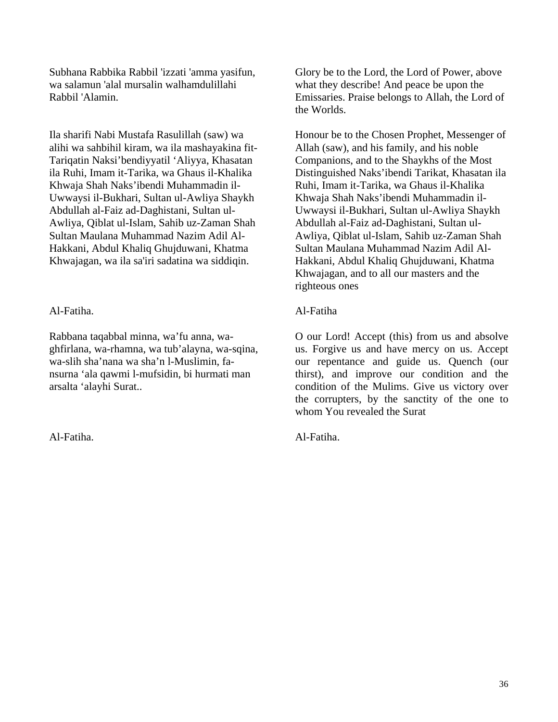Subhana Rabbika Rabbil 'izzati 'amma yasifun, wa salamun 'alal mursalin walhamdulillahi Rabbil 'Alamin.

Ila sharifi Nabi Mustafa Rasulillah (saw) wa alihi wa sahbihil kiram, wa ila mashayakina fit-Tariqatin Naksi'bendiyyatil 'Aliyya, Khasatan ila Ruhi, Imam it-Tarika, wa Ghaus il-Khalika Khwaja Shah Naks'ibendi Muhammadin il-Uwwaysi il-Bukhari, Sultan ul-Awliya Shaykh Abdullah al-Faiz ad-Daghistani, Sultan ul-Awliya, Qiblat ul-Islam, Sahib uz-Zaman Shah Sultan Maulana Muhammad Nazim Adil Al-Hakkani, Abdul Khaliq Ghujduwani, Khatma Khwajagan, wa ila sa'iri sadatina wa siddiqin.

Al-Fatiha.

Rabbana taqabbal minna, wa'fu anna, waghfirlana, wa-rhamna, wa tub'alayna, wa-sqina, wa-slih sha'nana wa sha'n l-Muslimin, fansurna 'ala qawmi l-mufsidin, bi hurmati man arsalta 'alayhi Surat..

Al-Fatiha.

Glory be to the Lord, the Lord of Power, above what they describe! And peace be upon the Emissaries. Praise belongs to Allah, the Lord of the Worlds.

Honour be to the Chosen Prophet, Messenger of Allah (saw), and his family, and his noble Companions, and to the Shaykhs of the Most Distinguished Naks'ibendi Tarikat, Khasatan ila Ruhi, Imam it-Tarika, wa Ghaus il-Khalika Khwaja Shah Naks'ibendi Muhammadin il-Uwwaysi il-Bukhari, Sultan ul-Awliya Shaykh Abdullah al-Faiz ad-Daghistani, Sultan ul-Awliya, Qiblat ul-Islam, Sahib uz-Zaman Shah Sultan Maulana Muhammad Nazim Adil Al-Hakkani, Abdul Khaliq Ghujduwani, Khatma Khwajagan, and to all our masters and the righteous ones

#### Al-Fatiha

O our Lord! Accept (this) from us and absolve us. Forgive us and have mercy on us. Accept our repentance and guide us. Quench (our thirst), and improve our condition and the condition of the Mulims. Give us victory over the corrupters, by the sanctity of the one to whom You revealed the Surat

Al-Fatiha.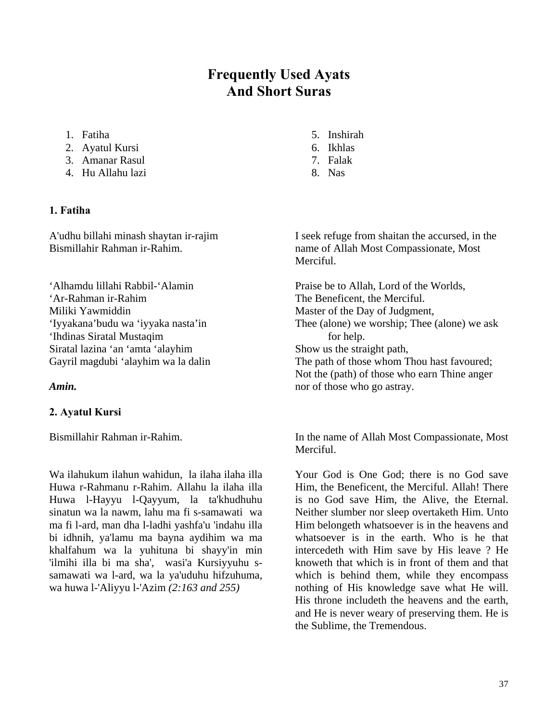## **Frequently Used Ayats And Short Suras**

- 1. Fatiha
- 2. Ayatul Kursi
- 3. Amanar Rasul
- 4. Hu Allahu lazi

#### **1. Fatiha**

A'udhu billahi minash shaytan ir-rajim Bismillahir Rahman ir-Rahim.

'Alhamdu lillahi Rabbil-'Alamin 'Ar-Rahman ir-Rahim Miliki Yawmiddin 'Iyyakana'budu wa 'iyyaka nasta'in 'Ihdinas Siratal Mustaqim Siratal lazina 'an 'amta 'alayhim Gayril magdubi 'alayhim wa la dalin

#### *Amin.*

#### **2. Ayatul Kursi**

Bismillahir Rahman ir-Rahim.

Wa ilahukum ilahun wahidun, la ilaha ilaha illa Huwa r-Rahmanu r-Rahim. Allahu la ilaha illa Huwa l-Hayyu l-Qayyum, la ta'khudhuhu sinatun wa la nawm, lahu ma fi s-samawati wa ma fi l-ard, man dha l-ladhi yashfa'u 'indahu illa bi idhnih, ya'lamu ma bayna aydihim wa ma khalfahum wa la yuhituna bi shayy'in min 'ilmihi illa bi ma sha', wasi'a Kursiyyuhu ssamawati wa l-ard, wa la ya'uduhu hifzuhuma, wa huwa l-'Aliyyu l-'Azim *(2:163 and 255)*

- 5. Inshirah
- 6. Ikhlas
- 7. Falak
- 8. Nas

I seek refuge from shaitan the accursed, in the name of Allah Most Compassionate, Most Merciful.

Praise be to Allah, Lord of the Worlds, The Beneficent, the Merciful. Master of the Day of Judgment, Thee (alone) we worship; Thee (alone) we ask for help. Show us the straight path, The path of those whom Thou hast favoured; Not the (path) of those who earn Thine anger nor of those who go astray.

In the name of Allah Most Compassionate, Most Merciful.

Your God is One God; there is no God save Him, the Beneficent, the Merciful. Allah! There is no God save Him, the Alive, the Eternal. Neither slumber nor sleep overtaketh Him. Unto Him belongeth whatsoever is in the heavens and whatsoever is in the earth. Who is he that intercedeth with Him save by His leave ? He knoweth that which is in front of them and that which is behind them, while they encompass nothing of His knowledge save what He will. His throne includeth the heavens and the earth, and He is never weary of preserving them. He is the Sublime, the Tremendous.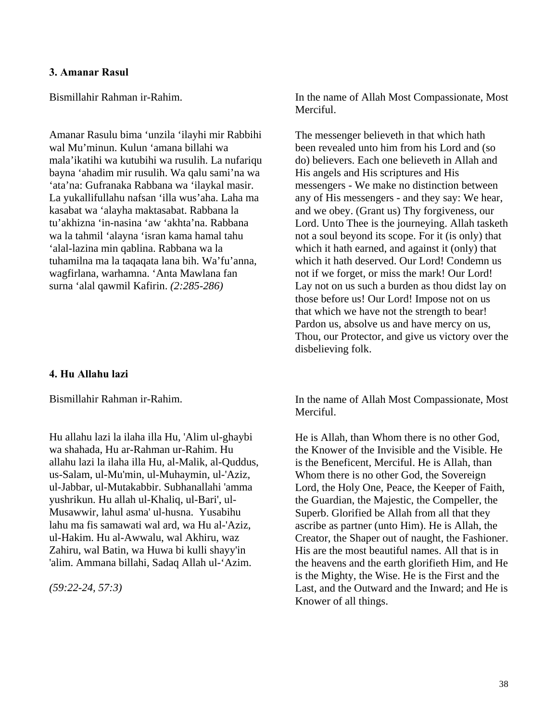#### **3. Amanar Rasul**

Bismillahir Rahman ir-Rahim.

Amanar Rasulu bima 'unzila 'ilayhi mir Rabbihi wal Mu'minun. Kulun 'amana billahi wa mala'ikatihi wa kutubihi wa rusulih. La nufariqu bayna 'ahadim mir rusulih. Wa qalu sami'na wa 'ata'na: Gufranaka Rabbana wa 'ilaykal masir. La yukallifullahu nafsan 'illa wus'aha. Laha ma kasabat wa 'alayha maktasabat. Rabbana la tu'akhizna 'in-nasina 'aw 'akhta'na. Rabbana wa la tahmil 'alayna 'isran kama hamal tahu 'alal-lazina min qablina. Rabbana wa la tuhamilna ma la taqaqata lana bih. Wa'fu'anna, wagfirlana, warhamna. 'Anta Mawlana fan surna 'alal qawmil Kafirin. *(2:285-286)*

#### **4. Hu Allahu lazi**

Bismillahir Rahman ir-Rahim.

Hu allahu lazi la ilaha illa Hu, 'Alim ul-ghaybi wa shahada, Hu ar-Rahman ur-Rahim. Hu allahu lazi la ilaha illa Hu, al-Malik, al-Quddus, us-Salam, ul-Mu'min, ul-Muhaymin, ul-'Aziz, ul-Jabbar, ul-Mutakabbir. Subhanallahi 'amma yushrikun. Hu allah ul-Khaliq, ul-Bari', ul-Musawwir, lahul asma' ul-husna. Yusabihu lahu ma fis samawati wal ard, wa Hu al-'Aziz, ul-Hakim. Hu al-Awwalu, wal Akhiru, waz Zahiru, wal Batin, wa Huwa bi kulli shayy'in 'alim. Ammana billahi, Sadaq Allah ul-'Azim.

*(59:22-24, 57:3)*

In the name of Allah Most Compassionate, Most Merciful.

The messenger believeth in that which hath been revealed unto him from his Lord and (so do) believers. Each one believeth in Allah and His angels and His scriptures and His messengers - We make no distinction between any of His messengers - and they say: We hear, and we obey. (Grant us) Thy forgiveness, our Lord. Unto Thee is the journeying. Allah tasketh not a soul beyond its scope. For it (is only) that which it hath earned, and against it (only) that which it hath deserved. Our Lord! Condemn us not if we forget, or miss the mark! Our Lord! Lay not on us such a burden as thou didst lay on those before us! Our Lord! Impose not on us that which we have not the strength to bear! Pardon us, absolve us and have mercy on us, Thou, our Protector, and give us victory over the disbelieving folk.

In the name of Allah Most Compassionate, Most Merciful.

He is Allah, than Whom there is no other God, the Knower of the Invisible and the Visible. He is the Beneficent, Merciful. He is Allah, than Whom there is no other God, the Sovereign Lord, the Holy One, Peace, the Keeper of Faith, the Guardian, the Majestic, the Compeller, the Superb. Glorified be Allah from all that they ascribe as partner (unto Him). He is Allah, the Creator, the Shaper out of naught, the Fashioner. His are the most beautiful names. All that is in the heavens and the earth glorifieth Him, and He is the Mighty, the Wise. He is the First and the Last, and the Outward and the Inward; and He is Knower of all things.